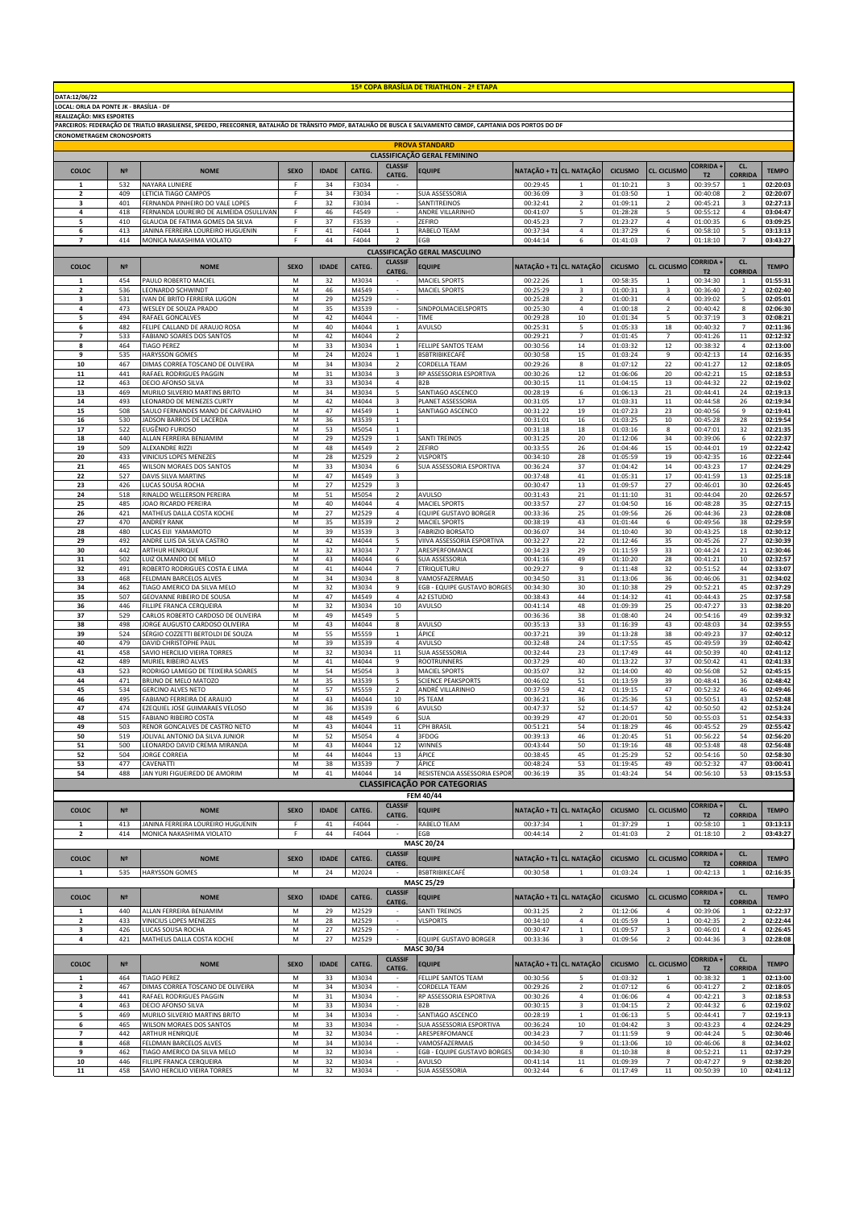| DATA:12/06/22                           |                |                                                                                                                                                              |                                                                                                            |              |                |                                  | 15 <sup>ª</sup> COPA BRASÍLIA DE TRIATHLON - 2ª ETAPA |                          |                         |                      |                           |                                   |                                |                      |
|-----------------------------------------|----------------|--------------------------------------------------------------------------------------------------------------------------------------------------------------|------------------------------------------------------------------------------------------------------------|--------------|----------------|----------------------------------|-------------------------------------------------------|--------------------------|-------------------------|----------------------|---------------------------|-----------------------------------|--------------------------------|----------------------|
| LOCAL: ORLA DA PONTE JK - BRASÍLIA - DF |                |                                                                                                                                                              |                                                                                                            |              |                |                                  |                                                       |                          |                         |                      |                           |                                   |                                |                      |
| REALIZAÇÃO: MKS ESPORTES                |                |                                                                                                                                                              |                                                                                                            |              |                |                                  |                                                       |                          |                         |                      |                           |                                   |                                |                      |
|                                         |                | PARCEIROS: FEDERAÇÃO DE TRIATLO BRASILIENSE, SPEEDO, FREECORNER, BATALHÃO DE TRÂNSITO PMDF, BATALHÃO DE BUSCA E SALVAMENTO CBMDF, CAPITANIA DOS PORTOS DO DF |                                                                                                            |              |                |                                  |                                                       |                          |                         |                      |                           |                                   |                                |                      |
| <b>CRONOMETRAGEM CRONOSPORTS</b>        |                |                                                                                                                                                              |                                                                                                            |              |                |                                  |                                                       |                          |                         |                      |                           |                                   |                                |                      |
|                                         |                |                                                                                                                                                              |                                                                                                            |              |                |                                  | <b>PROVA STANDARD</b>                                 |                          |                         |                      |                           |                                   |                                |                      |
|                                         |                |                                                                                                                                                              |                                                                                                            |              |                |                                  | <b>CLASSIFICAÇÃO GERAL FEMININO</b>                   |                          |                         |                      |                           |                                   |                                |                      |
| COLOC                                   | N <sup>2</sup> | <b>NOME</b>                                                                                                                                                  | <b>SEXO</b>                                                                                                | <b>IDADE</b> | CATEG.         | <b>CLASSIF</b><br>CATEG.         | <b>EQUIPE</b>                                         | NATAÇÃO + T1 CL. NATAÇÃO |                         | <b>CICLISMO</b>      | <b>CL. CICLISMO</b>       | <b>CORRIDA</b><br>T <sub>2</sub>  | CL.<br><b>CORRIDA</b>          | <b>TEMPO</b>         |
| 1                                       | 532            | NAYARA LUNIERE                                                                                                                                               | F                                                                                                          | 34           | F3034          |                                  |                                                       | 00:29:45                 | 1                       | 01:10:21             | 3                         | 00:39:57                          | 1                              | 02:20:03             |
| 2                                       | 409            | LETICIA TIAGO CAMPOS                                                                                                                                         | F.                                                                                                         | 34           | F3034          | $\sim$                           | SUA ASSESSORIA                                        | 00:36:09                 | 3                       | 01:03:50             | $\mathbf{1}$              | 00:40:08                          | $\overline{2}$                 | 02:20:07             |
| 3                                       | 401            | FERNANDA PINHEIRO DO VALE LOPES                                                                                                                              | F                                                                                                          | 32           | F3034          | $\overline{\phantom{a}}$         | SANTITREINOS                                          | 00:32:41                 | $\overline{2}$          | 01:09:11             | $\overline{2}$            | 00:45:21                          | 3                              | 02:27:13             |
| 4                                       | 418            | FERNANDA LOUREIRO DE ALMEIDA OSULLIVAN                                                                                                                       | F                                                                                                          | 46           | F4549          | ä,                               | ANDRE VILLARINHO                                      | 00:41:07                 | 5                       | 01:28:28             | 5                         | 00:55:12                          | 4                              | 03:04:47             |
| 5                                       | 410            | GLAUCIA DE FATIMA GOMES DA SILVA                                                                                                                             | $\mathsf F$                                                                                                | 37           | F3539          | ÷.                               | ZEFIRO                                                | 00:45:23                 | $\overline{7}$          | 01:23:27             | 4                         | 01:00:35                          | $\,$ 6 $\,$                    | 03:09:25             |
| 6<br>$\overline{ }$                     | 413<br>414     | JANINA FERREIRA LOUREIRO HUGUENIN<br>MONICA NAKASHIMA VIOLATO                                                                                                | F<br>F                                                                                                     | 41<br>44     | F4044<br>F4044 | $\,$ 1<br>$\overline{z}$         | RABELO TEAM<br>EGB                                    | 00:37:34<br>00:44:14     | $\sqrt{4}$<br>6         | 01:37:29<br>01:41:03 | 6<br>$\overline{7}$       | 00:58:10<br>01:18:10              | 5<br>$\overline{7}$            | 03:13:13<br>03:43:27 |
|                                         |                |                                                                                                                                                              |                                                                                                            |              |                |                                  | CLASSIFICAÇÃO GERAL MASCULINO                         |                          |                         |                      |                           |                                   |                                |                      |
|                                         |                |                                                                                                                                                              |                                                                                                            |              |                | <b>CLASSIF</b>                   |                                                       |                          |                         |                      |                           | CORRIDA +                         | CL.                            |                      |
| COLOC                                   | N <sup>2</sup> | <b>NOME</b>                                                                                                                                                  | <b>SEXO</b>                                                                                                | <b>IDADE</b> | CATEG.         | CATEG.                           | <b>EQUIPE</b>                                         | NATAÇÃO + T1 CL. NATAÇÃO |                         | <b>CICLISMO</b>      | CL. CICLISMO              | T <sub>2</sub>                    | <b>CORRIDA</b>                 | <b>TEMPO</b>         |
| 1                                       | 454            | PAULO ROBERTO MACIEL                                                                                                                                         | M                                                                                                          | 32           | M3034          |                                  | MACIEL SPORTS                                         | 00:22:26                 | 1                       | 00:58:35             | $\mathbf{1}$              | 00:34:30                          | $\mathbf{1}$                   | 01:55:31             |
| $\overline{2}$                          | 536            | LEONARDO SCHWINDT                                                                                                                                            | M                                                                                                          | 46           | M4549          | $\sim$                           | MACIEL SPORTS                                         | 00:25:29                 | 3                       | 01:00:31             | 3                         | 00:36:40                          | $\overline{2}$                 | 02:02:40             |
| 3<br>4                                  | 531            | IVAN DE BRITO FERREIRA LUGON                                                                                                                                 | M                                                                                                          | 29           | M2529          | ÷<br>$\overline{\phantom{a}}$    | SINDPOLMACIELSPORTS                                   | 00:25:28                 | $\overline{2}$          | 01:00:31             | $\ensuremath{\mathsf{4}}$ | 00:39:02                          | 5                              | 02:05:01             |
| 5                                       | 473<br>494     | WESLEY DE SOUZA PRADO<br>RAFAEL GONCALVES                                                                                                                    | M<br>M                                                                                                     | 35<br>42     | M3539<br>M4044 |                                  | TIME                                                  | 00:25:30<br>00:29:28     | 4<br>10                 | 01:00:18<br>01:01:34 | $\overline{2}$<br>5       | 00:40:42<br>00:37:19              | 8<br>$\ensuremath{\mathsf{3}}$ | 02:06:30<br>02:08:21 |
| 6                                       | 482            | FELIPE CALLAND DE ARAUJO ROSA                                                                                                                                | M                                                                                                          | 40           | M4044          | $\mathbf{1}$                     | AVULSO                                                | 00:25:31                 | 5                       | 01:05:33             | 18                        | 00:40:32                          | $\overline{7}$                 | 02:11:36             |
| $\overline{7}$                          | 533            | FABIANO SOARES DOS SANTOS                                                                                                                                    | M                                                                                                          | 42           | M4044          | $\overline{2}$                   |                                                       | 00:29:21                 | $\overline{7}$          | 01:01:45             | $\overline{7}$            | 00:41:26                          | $11\,$                         | 02:12:32             |
| 8                                       | 464            | <b>TIAGO PEREZ</b>                                                                                                                                           | M                                                                                                          | 33           | M3034          | $\mathbf{1}$                     | FELLIPE SANTOS TEAM                                   | 00:30:56                 | 14                      | 01:03:32             | 12                        | 00:38:32                          | 4                              | 02:13:00             |
| 9                                       | 535            | <b>HARYSSON GOMES</b>                                                                                                                                        | M                                                                                                          | 24           | M2024          | $\,$ 1                           | <b>BSBTRIBIKECAFÉ</b>                                 | 00:30:58                 | 15                      | 01:03:24             | 9                         | 00:42:13                          | 14                             | 02:16:35             |
| 10                                      | 467            | DIMAS CORREA TOSCANO DE OLIVEIRA<br>RAFAEL RODRIGUES PAGGIN                                                                                                  | M                                                                                                          | 34           | M3034          | $\overline{2}$                   | CORDELLA TEAM                                         | 00:29:26                 | 8                       | 01:07:12             | 22                        | 00:41:27                          | 12                             | 02:18:05             |
| 11<br>${\bf 12}$                        | 441<br>463     | DECIO AFONSO SILVA                                                                                                                                           | M<br>M                                                                                                     | 31<br>33     | M3034<br>M3034 | 3<br>$\,4\,$                     | RP ASSESSORIA ESPORTIVA<br>B <sub>2</sub> B           | 00:30:26<br>00:30:15     | 12<br>$11\,$            | 01:06:06<br>01:04:15 | 20<br>13                  | 00:42:21<br>00:44:32              | 15<br>22                       | 02:18:53<br>02:19:02 |
| 13                                      | 469            | MURILO SILVERIO MARTINS BRITO                                                                                                                                | M                                                                                                          | 34           | M3034          | 5                                | SANTIAGO ASCENCO                                      | 00:28:19                 | 6                       | 01:06:13             | 21                        | 00:44:41                          | 24                             | 02:19:13             |
| 14                                      | 493            | LEONARDO DE MENEZES CURTY                                                                                                                                    | M                                                                                                          | 42           | M4044          | $\overline{\mathbf{3}}$          | PLANET ASSESSORIA                                     | 00:31:05                 | 17                      | 01:03:31             | 11                        | 00:44:58                          | 26                             | 02:19:34             |
| 15                                      | 508            | SAULO FERNANDES MANO DE CARVALHO                                                                                                                             | M                                                                                                          | 47           | M4549          | $\mathbf{1}$                     | SANTIAGO ASCENCO                                      | 00:31:22                 | 19                      | 01:07:23             | 23                        | 00:40:56                          | 9                              | 02:19:41             |
| 16                                      | 530            | JADSON BARROS DE LACERDA                                                                                                                                     | M                                                                                                          | 36           | M3539          | $\,$ 1                           |                                                       | 00:31:01                 | 16                      | 01:03:25             | $10\,$                    | 00:45:28                          | 28                             | 02:19:54             |
| 17                                      | 522            | EUGÊNIO FURIOSO                                                                                                                                              | M                                                                                                          | 53           | M5054          | $\,$ 1                           |                                                       | 00:31:18                 | 18                      | 01:03:16             | 8                         | 00:47:01                          | 32                             | 02:21:35             |
| 18                                      | 440            | ALLAN FERREIRA BENJAMIM<br>ALEXANDRE RIZZI                                                                                                                   | $\mathsf{M}% _{T}=\mathsf{M}_{T}\!\left( a,b\right) ,\ \mathsf{M}_{T}=\mathsf{M}_{T}\!\left( a,b\right) ,$ | 29           | M2529          | $\,$ 1 $\,$                      | <b>SANTI TREINOS</b><br>ZEFIRO                        | 00:31:25                 | 20                      | 01:12:06             | 34                        | 00:39:06                          | 6                              | 02:22:37             |
| 19<br>20                                | 509<br>433     | VINICIUS LOPES MENEZES                                                                                                                                       | M<br>M                                                                                                     | 48<br>28     | M4549<br>M2529 | $\overline{2}$<br>$\overline{2}$ | <b>VLSPORTS</b>                                       | 00:33:55<br>00:34:10     | 26<br>28                | 01:04:46<br>01:05:59 | 15<br>19                  | 00:44:01<br>00:42:35              | 19<br>16                       | 02:22:42<br>02:22:44 |
| 21                                      | 465            | <b>WILSON MORAES DOS SANTOS</b>                                                                                                                              | M                                                                                                          | 33           | M3034          | 6                                | SUA ASSESSORIA ESPORTIVA                              | 00:36:24                 | 37                      | 01:04:42             | 14                        | 00:43:23                          | 17                             | 02:24:29             |
| 22                                      | 527            | DAVIS SILVA MARTINS                                                                                                                                          | M                                                                                                          | 47           | M4549          | 3                                |                                                       | 00:37:48                 | 41                      | 01:05:31             | 17                        | 00:41:59                          | 13                             | 02:25:18             |
| 23                                      | 426            | LUCAS SOUSA ROCHA                                                                                                                                            | M                                                                                                          | 27           | M2529          | 3                                |                                                       | 00:30:47                 | 13                      | 01:09:57             | 27                        | 00:46:01                          | 30                             | 02:26:45             |
| 24                                      | 518            | RINALDO WELLERSON PEREIRA                                                                                                                                    | M                                                                                                          | 51           | M5054          | $\overline{2}$                   | <b>AVULSO</b>                                         | 00:31:43                 | 21                      | 01:11:10             | 31                        | 00:44:04                          | 20                             | 02:26:57             |
| 25                                      | 485            | JOAO RICARDO PEREIRA                                                                                                                                         | М                                                                                                          | 40           | M4044          | $\overline{4}$                   | <b>MACIEL SPORTS</b>                                  | 00:33:57                 | 27                      | 01:04:50             | 16                        | 00:48:28                          | 35                             | 02:27:15             |
| 26<br>27                                | 421<br>470     | MATHEUS DALLA COSTA KOCHE<br><b>ANDREY RANK</b>                                                                                                              | M<br>M                                                                                                     | 27<br>35     | M2529<br>M3539 | 4<br>$\overline{\mathbf{c}}$     | <b>EQUIPE GUSTAVO BORGER</b><br>MACIEL SPORTS         | 00:33:36<br>00:38:19     | 25<br>43                | 01:09:56<br>01:01:44 | 26<br>6                   | 00:44:36<br>00:49:56              | 23<br>38                       | 02:28:08<br>02:29:59 |
| 28                                      | 480            | LUCAS EIJI YAMAMOTO                                                                                                                                          | M                                                                                                          | 39           | M3539          | $\ensuremath{\mathsf{3}}$        | <b>FABRIZIO BORSATO</b>                               | 00:36:07                 | 34                      | 01:10:40             | 30                        | 00:43:25                          | 18                             | 02:30:12             |
| 29                                      | 492            | ANDRE LUIS DA SILVA CASTRO                                                                                                                                   | M                                                                                                          | 42           | M4044          | 5                                | VIIVA ASSESSORIA ESPORTIVA                            | 00:32:27                 | 22                      | 01:12:46             | 35                        | 00:45:26                          | 27                             | 02:30:39             |
| 30                                      | 442            | ARTHUR HENRIQUE                                                                                                                                              | M                                                                                                          | 32           | M3034          | $\overline{7}$                   | ARESPERFOMANCE                                        | 00:34:23                 | 29                      | 01:11:59             | 33                        | 00:44:24                          | ${\bf 21}$                     | 02:30:46             |
| 31                                      | 502            | LUIZ OLMANDO DE MELO                                                                                                                                         | M                                                                                                          | 43           | M4044          | 6                                | SUA ASSESSORIA                                        | 00:41:16                 | 49                      | 01:10:20             | 28                        | 00:41:21                          | 10                             | 02:32:57             |
| 32                                      | 491            | ROBERTO RODRIGUES COSTA E LIMA                                                                                                                               | M                                                                                                          | 41           | M4044          | $\overline{7}$                   | ETRIQUETURU                                           | 00:29:27                 | 9                       | 01:11:48             | 32                        | 00:51:52                          | 44                             | 02:33:07             |
| 33                                      | 468            | FELDMAN BARCELOS ALVES                                                                                                                                       | M                                                                                                          | 34           | M3034          | 8                                | VAMOSFAZERMAIS                                        | 00:34:50                 | 31                      | 01:13:06             | 36                        | 00:46:06                          | 31                             | 02:34:02             |
| 34<br>35                                | 462<br>507     | TIAGO AMERICO DA SILVA MELO<br>GEOVANNE RIBEIRO DE SOUSA                                                                                                     | M<br>M                                                                                                     | 32<br>47     | M3034<br>M4549 | 9<br>4                           | EGB - EQUIPE GUSTAVO BORGES<br>A2 ESTUDIO             | 00:34:30<br>00:38:43     | 30<br>44                | 01:10:38<br>01:14:32 | 29<br>41                  | 00:52:21<br>00:44:43              | 45<br>25                       | 02:37:29<br>02:37:58 |
| 36                                      | 446            | FILLIPE FRANCA CERQUEIRA                                                                                                                                     | M                                                                                                          | 32           | M3034          | 10                               | AVULSO                                                | 00:41:14                 | 48                      | 01:09:39             | 25                        | 00:47:27                          | 33                             | 02:38:20             |
| 37                                      | 529            | CARLOS ROBERTO CARDOSO DE OLIVEIRA                                                                                                                           | M                                                                                                          | 49           | M4549          | 5                                |                                                       | 00:36:36                 | 38                      | 01:08:40             | 24                        | 00:54:16                          | 49                             | 02:39:32             |
| 38                                      | 498            | JORGE AUGUSTO CARDOSO OLIVEIRA                                                                                                                               | M                                                                                                          | 43           | M4044          | 8                                | AVULSO                                                | 00:35:13                 | 33                      | 01:16:39             | 43                        | 00:48:03                          | 34                             | 02:39:55             |
| 39                                      | 524            | SÉRGIO COZZETTI BERTOLDI DE SOUZA                                                                                                                            | M                                                                                                          | 55           | M5559          | $\,$ 1 $\,$                      | ÁPICE                                                 | 00:37:21                 | 39                      | 01:13:28             | 38                        | 00:49:23                          | 37                             | 02:40:12             |
| 40                                      | 479            | DAVID CHRISTOPHE PAUL                                                                                                                                        | M                                                                                                          | 39           | M3539          | $\sqrt{4}$                       | AVULSO                                                | 00:32:48                 | 24                      | 01:17:55             | 45                        | 00:49:59                          | 39                             | 02:40:42             |
| 41<br>42                                | 458<br>489     | SAVIO HERCILIO VIEIRA TORRES<br>MURIEL RIBEIRO ALVES                                                                                                         | M<br>M                                                                                                     | 32<br>41     | M3034<br>M4044 | 11<br>9                          | SUA ASSESSORIA<br><b>ROOTRUNNERS</b>                  | 00:32:44<br>00:37:29     | 23<br>40                | 01:17:49<br>01:13:22 | 44<br>37                  | 00:50:39<br>00:50:42              | 40<br>41                       | 02:41:12<br>02:41:33 |
| 43                                      | 523            | RODRIGO LAMEGO DE TEIXEIRA SOARES                                                                                                                            | M                                                                                                          | 54           | M5054          | 3                                | MACIEL SPORTS                                         | 00:35:07                 | 32                      | 01:14:00             | 40                        | 00:56:08                          | 52                             | 02:45:15             |
| 44                                      | 471            | BRUNO DE MELO MATOZO                                                                                                                                         | M                                                                                                          | 35           | M3539          | 5                                | <b>SCIENCE PEAKSPORTS</b>                             | 00:46:02                 | 51                      | 01:13:59             | 39                        | 00:48:41                          | 36                             | 02:48:42             |
| 45                                      | 534            | <b>GERCINO ALVES NETO</b>                                                                                                                                    | M                                                                                                          | 57           | M5559          | $\overline{2}$                   | ANDRÉ VILLARINHO                                      | 00:37:59                 | 42                      | 01:19:15             | 47                        | 00:52:32                          | 46                             | 02:49:46             |
| 46                                      | 495            | FABIANO FERREIRA DE ARAUJO                                                                                                                                   | M                                                                                                          | 43           | M4044          | 10                               | PS TEAM                                               | 00:36:21                 | 36                      | 01:25:36             | 53                        | 00:50:51                          | 43                             | 02:52:48             |
| 47                                      | 474            | EZEQUIEL JOSE GUIMARAES VELOSO                                                                                                                               | M                                                                                                          | 36           | M3539          | 6                                | <b>AVULSO</b>                                         | 00:47:37                 | 52                      | 01:14:57             | 42                        | 00:50:50                          | 42                             | 02:53:24             |
| 48<br>49                                | 515<br>503     | LEABIANO RIBEIRO COSTA<br>RENOR GONCALVES DE CASTRO NETO                                                                                                     | M<br>M                                                                                                     | 48<br>43     | M4549<br>M4044 | ь<br>$11\,$                      | <b>SUA</b><br><b>CPH BRASIL</b>                       | 00:39:29<br>00:51:21     | 47<br>54                | 01:20:01<br>01:18:29 | 50<br>46                  | 00:55:03<br>00:45:52              | 51<br>29                       | 02:54:33<br>02:55:42 |
| 50                                      | 519            | JOLIVAL ANTONIO DA SILVA JUNIOR                                                                                                                              | M                                                                                                          | 52           | M5054          | $\overline{4}$                   | 3FDOG                                                 | 00:39:13                 | 46                      | 01:20:45             | 51                        | 00:56:22                          | 54                             | 02:56:20             |
| 51                                      | 500            | LEONARDO DAVID CREMA MIRANDA                                                                                                                                 | M                                                                                                          | 43           | M4044          | 12                               | <b>WINNES</b>                                         | 00:43:44                 | 50                      | 01:19:16             | 48                        | 00:53:48                          | 48                             | 02:56:48             |
| 52                                      | 504            | <b>JORGE CORREIA</b>                                                                                                                                         | $\mathsf{M}% _{T}=\mathsf{M}_{T}\!\left( a,b\right) ,\ \mathsf{M}_{T}=\mathsf{M}_{T}\!\left( a,b\right) ,$ | 44           | M4044          | 13                               | ÁPICE                                                 | 00:38:45                 | 45                      | 01:25:29             | 52                        | 00:54:16                          | 50                             | 02:58:30             |
| 53                                      | 477            | CAVENATTI                                                                                                                                                    | M                                                                                                          | 38           | M3539          | $\overline{7}$                   | ÁPICE                                                 | 00:48:24                 | 53                      | 01:19:45             | 49                        | 00:52:32                          | 47                             | 03:00:41             |
| 54                                      | 488            | JAN YURI FIGUEIREDO DE AMORIM                                                                                                                                | M                                                                                                          | 41           | M4044          | 14                               | RESISTENCIA ASSESSORIA ESPORT                         | 00:36:19                 | 35                      | 01:43:24             | 54                        | 00:56:10                          | 53                             | 03:15:53             |
|                                         |                |                                                                                                                                                              |                                                                                                            |              |                |                                  | <b>CLASSIFICAÇÃO POR CATEGORIAS</b>                   |                          |                         |                      |                           |                                   |                                |                      |
|                                         |                |                                                                                                                                                              |                                                                                                            |              |                |                                  | FEM 40/44                                             |                          |                         |                      |                           |                                   |                                |                      |
| <b>COLOC</b>                            | N <sup>2</sup> | <b>NOME</b>                                                                                                                                                  | <b>SEXO</b>                                                                                                | <b>IDADE</b> | CATEG.         | <b>CLASSIF</b><br>CATEG.         | <b>EQUIPE</b>                                         | NATAÇÃO + T1 CL. NATAÇÃO |                         | <b>CICLISMO</b>      | <b>CL. CICLISMO</b>       | <b>CORRIDA+</b><br>T <sub>2</sub> | CL.<br><b>CORRIDA</b>          | <b>TEMPO</b>         |
| 1                                       | 413            | JANINA FERREIRA LOUREIRO HUGUENIN                                                                                                                            | F                                                                                                          | 41           | F4044          | $\sim$                           | RABELO TEAM                                           | 00:37:34                 | $\mathbf{1}$            | 01:37:29             | $\mathbf 1$               | 00:58:10                          | $\mathbf{1}$                   | 03:13:13             |
| 2                                       | 414            | MONICA NAKASHIMA VIOLATO                                                                                                                                     | F                                                                                                          | 44           | F4044          |                                  | EGB                                                   | 00:44:14                 | $\overline{2}$          | 01:41:03             | $\overline{2}$            | 01:18:10                          | $\overline{2}$                 | 03:43:27             |
|                                         |                |                                                                                                                                                              |                                                                                                            |              |                |                                  | <b>MASC 20/24</b>                                     |                          |                         |                      |                           |                                   |                                |                      |
| COLOC                                   | N <sup>2</sup> | <b>NOME</b>                                                                                                                                                  | <b>SEXO</b>                                                                                                | <b>IDADE</b> | CATEG.         | <b>CLASSIF</b>                   | <b>EQUIPE</b>                                         | NATAÇÃO + T1 CL. NATAÇÃO |                         | <b>CICLISMO</b>      | <b>CL. CICLISMO</b>       | <b>CORRIDA+</b>                   | CL.                            | <b>TEMPO</b>         |
|                                         |                |                                                                                                                                                              |                                                                                                            |              |                | CATEG.                           |                                                       |                          |                         |                      |                           | T <sub>2</sub>                    | <b>CORRIDA</b>                 |                      |
| 1                                       | 535            | <b>HARYSSON GOMES</b>                                                                                                                                        | M                                                                                                          | 24           | M2024          |                                  | BSBTRIBIKECAFÉ                                        | 00:30:58                 |                         | 01:03:24             | $\mathbf{1}$              | 00:42:13                          | $\mathbf{1}$                   | 02:16:35             |
|                                         |                |                                                                                                                                                              |                                                                                                            |              |                |                                  | <b>MASC 25/29</b>                                     |                          |                         |                      |                           |                                   |                                |                      |
| COLOC                                   | N <sup>2</sup> | <b>NOME</b>                                                                                                                                                  | <b>SEXO</b>                                                                                                | <b>IDADE</b> | CATEG.         | <b>CLASSIF</b><br>CATEG.         | <b>EQUIPE</b>                                         | NATAÇÃO + T1 CL. NATAÇÃO |                         | <b>CICLISMO</b>      | <b>CL. CICLISMO</b>       | <b>CORRIDA+</b><br>T <sub>2</sub> | CL.<br><b>CORRIDA</b>          | <b>TEMPO</b>         |
| 1                                       | 440            | ALLAN FERREIRA BENJAMIM                                                                                                                                      | M                                                                                                          | 29           | M2529          |                                  | <b>SANTI TREINOS</b>                                  | 00:31:25                 | $\overline{\mathbf{2}}$ | 01:12:06             | $\sqrt{4}$                | 00:39:06                          | $\mathbf{1}$                   | 02:22:37             |
| 2                                       | 433            | VINICIUS LOPES MENEZES                                                                                                                                       | ${\sf M}$                                                                                                  | 28           | M2529          | $\sim$                           | <b>VLSPORTS</b>                                       | 00:34:10                 | $\overline{4}$          | 01:05:59             | $\mathbf{1}$              | 00:42:35                          | $\overline{2}$                 | 02:22:44             |
| 3                                       | 426            | LUCAS SOUSA ROCHA                                                                                                                                            | M                                                                                                          | 27           | M2529          | $\sim$                           |                                                       | 00:30:47                 | $\mathbf{1}$            | 01:09:57             | 3                         | 00:46:01                          | $\overline{4}$                 | 02:26:45             |
| 4                                       | 421            | MATHEUS DALLA COSTA KOCHE                                                                                                                                    | M                                                                                                          | 27           | M2529          | $\sim$                           | <b>EQUIPE GUSTAVO BORGER</b>                          | 00:33:36                 | 3                       | 01:09:56             | $\overline{2}$            | 00:44:36                          | $\overline{\mathbf{3}}$        | 02:28:08             |

|              | <b>MASC 30/34</b> |                                  |             |              |        |                          |                                    |          |                          |                 |                      |                                   |                      |              |
|--------------|-------------------|----------------------------------|-------------|--------------|--------|--------------------------|------------------------------------|----------|--------------------------|-----------------|----------------------|-----------------------------------|----------------------|--------------|
| <b>COLOC</b> | N <sup>2</sup>    | <b>NOME</b>                      | <b>SEXO</b> | <b>IDADE</b> | CATEG. | <b>CLASSIF</b><br>CATEG. | <b>EQUIPE</b>                      |          | NATAÇÃO + T1 CL. NATAÇÃO | <b>CICLISMO</b> | <b>ICL. CICLISMO</b> | <b>CORRIDA+</b><br>T <sub>2</sub> | CL<br><b>CORRIDA</b> | <b>TEMPO</b> |
|              | 464               | <b>TIAGO PEREZ</b>               | M           | 33           | M3034  |                          | <b>FELLIPE SANTOS TEAM</b>         | 00:30:56 |                          | 01:03:32        |                      | 00:38:32                          |                      | 02:13:00     |
|              | 467               | DIMAS CORREA TOSCANO DE OLIVEIRA | M           | 34           | M3034  |                          | <b>CORDELLA TEAM</b>               | 00:29:26 |                          | 01:07:12        | ь.                   | 00:41:27                          |                      | 02:18:05     |
|              | 441               | RAFAEL RODRIGUES PAGGIN          | M           | 31           | M3034  |                          | <b>RP ASSESSORIA ESPORTIVA</b>     | 00:30:26 |                          | 01:06:06        |                      | 00:42:21                          |                      | 02:18:53     |
|              | 463               | DECIO AFONSO SILVA               | M           | 33           | M3034  |                          | B <sub>2</sub> B                   | 00:30:15 |                          | 01:04:15        |                      | 00:44:32                          |                      | 02:19:02     |
|              | 469               | MURILO SILVERIO MARTINS BRITO    | M           | 34           | M3034  |                          | SANTIAGO ASCENCO                   | 00:28:19 |                          | 01:06:13        |                      | 00:44:41                          |                      | 02:19:13     |
|              | 465               | WILSON MORAES DOS SANTOS         | M           | 33           | M3034  |                          | SUA ASSESSORIA ESPORTIVA           | 00:36:24 | 10                       | 01:04:42        |                      | 00:43:23                          |                      | 02:24:29     |
|              | 442               | <b>ARTHUR HENRIQUE</b>           | M           | 32           | M3034  |                          | ARESPERFOMANCE                     | 00:34:23 |                          | 01:11:59        |                      | 00:44:24                          |                      | 02:30:46     |
|              | 468               | FELDMAN BARCELOS ALVES           | M           | 34           | M3034  |                          | VAMOSFAZERMAIS                     | 00:34:50 | o                        | 01:13:06        | 10                   | 00:46:06                          |                      | 02:34:02     |
|              | 462               | TIAGO AMERICO DA SILVA MELO      | M           | 32           | M3034  |                          | <b>EGB - EQUIPE GUSTAVO BORGES</b> | 00:34:30 |                          | 01:10:38        | 8                    | 00:52:21                          | 11                   | 02:37:29     |
| 10           | 446               | FILLIPE FRANCA CERQUEIRA         | M           | 32           | M3034  |                          | <b>AVULSO</b>                      | 00:41:14 | 11                       | 01:09:39        |                      | 00:47:27                          |                      | 02:38:20     |
| 11           | 458               | SAVIO HERCILIO VIEIRA TORRES     | M           |              | M3034  |                          | <b>SUA ASSESSORIA</b>              | 00:32:44 |                          | 01:17:49        | 11                   | 00:50:39                          | 10 <sup>1</sup>      | 02:41:12     |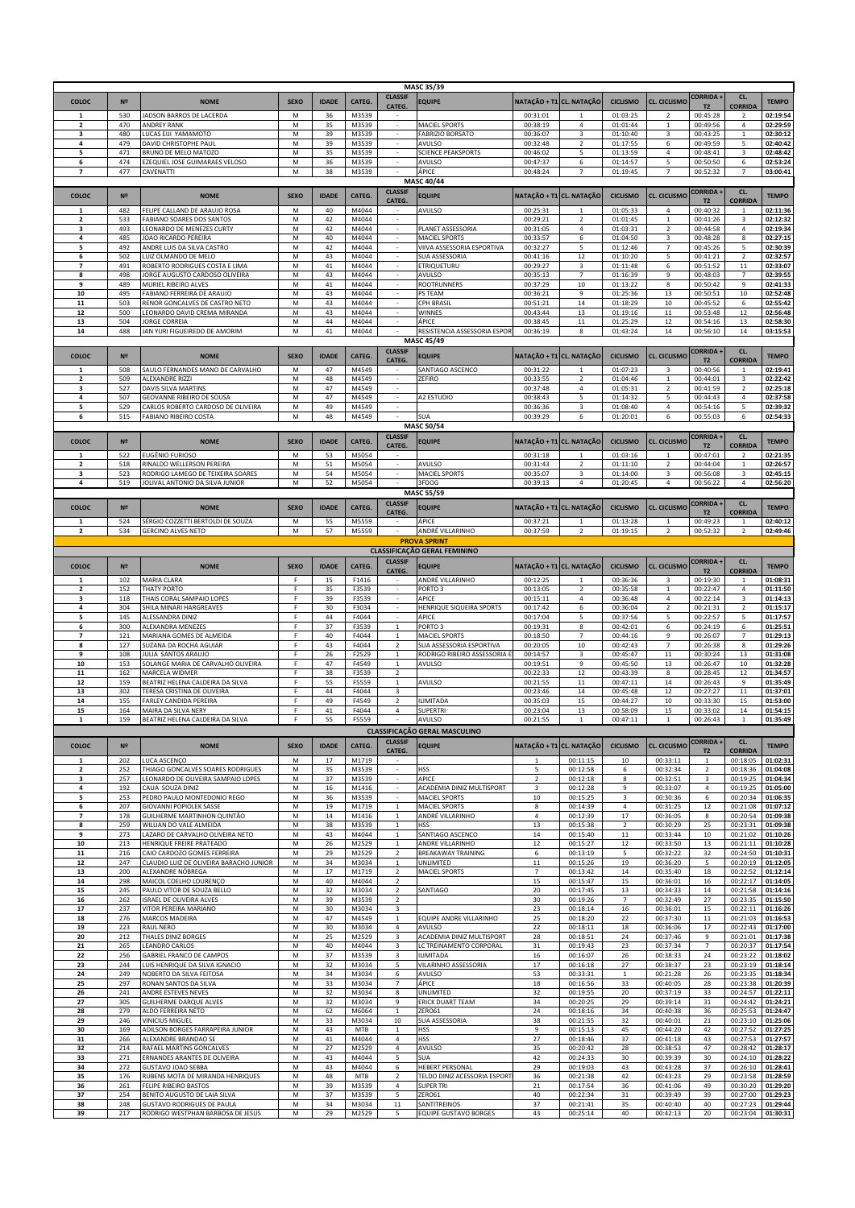|                                |                   |                                                                                                        |             |                |                         |                                  | <b>MASC 35/39</b>                                      |                          |                                          |                      |                                  |                                   |                                  |                                  |
|--------------------------------|-------------------|--------------------------------------------------------------------------------------------------------|-------------|----------------|-------------------------|----------------------------------|--------------------------------------------------------|--------------------------|------------------------------------------|----------------------|----------------------------------|-----------------------------------|----------------------------------|----------------------------------|
| COLOC                          | N <sup>2</sup>    | <b>NOME</b>                                                                                            | <b>SEXO</b> | <b>IDADE</b>   | <b>CATEG</b>            | <b>CLASSIF</b>                   | EQUIPE                                                 | NATAÇÃO + T1 CL. NATAÇÃO |                                          | <b>CICLISMO</b>      | <b>CL. CICLISMO</b>              | <b>CORRIDA +</b>                  | CL.                              | <b>TEMPO</b>                     |
| -1                             | 530               | <b>ADSON BARROS DE LACERDA</b>                                                                         | M           | 36             | M3539                   | <b>CATEG</b>                     |                                                        | 00:31:01                 | $\overline{1}$                           | 01:03:25             | $\overline{z}$                   | T <sub>2</sub><br>00:45:28        | <b>CORRIDA</b><br>$\overline{2}$ | 02:19:54                         |
| $\overline{2}$                 | 470               | <b>ANDREY RANK</b>                                                                                     | M           | 35             | M3539                   | $\sim$                           | MACIEL SPORTS                                          | 00:38:19                 | 4                                        | 01:01:44             | $\mathbf 1$                      | 00:49:56                          | 4                                | 02:29:59                         |
| 4                              | 480<br>479        | LUCAS EIJI YAMAMOTO                                                                                    | M           | 39<br>39       | M3539<br>M3539          |                                  | <b>FABRIZIO BORSATO</b>                                | 00:36:07<br>00:32:48     | 3                                        | 01:10:40<br>01:17:55 | 3                                | 00:43:25                          | $\mathbf{1}$                     | 02:30:12<br>02:40:42             |
| 5                              | 471               | DAVID CHRISTOPHE PAUL<br>BRUNO DE MELO MATOZO                                                          | M<br>М      | 35             | M3539                   | $\sim$                           | AVULSO<br><b>SCIENCE PEAKSPORTS</b>                    | 00:46:02                 | $\overline{2}$<br>5                      | 01:13:59             | 6<br>$\overline{4}$              | 00:49:59<br>00:48:41              | 5<br>3                           | 02:48:42                         |
| 6                              | 474               | EZEQUIEL JOSE GUIMARAES VELOSO                                                                         | M           | 36             | M3539                   |                                  | AVULSO                                                 | 00:47:37                 | 6                                        | 01:14:57             | 5                                | 00:50:50                          | 6                                | 02:53:24                         |
| $\overline{7}$                 | 477               | CAVENATTI                                                                                              | M           | 38             | M3539                   |                                  | ÁPICE<br><b>MASC 40/44</b>                             | 00:48:24                 | $\overline{7}$                           | 01:19:45             | $\overline{7}$                   | 00:52:32                          | $\overline{7}$                   | 03:00:41                         |
|                                |                   |                                                                                                        |             |                |                         | <b>CLASSIF</b>                   |                                                        |                          |                                          |                      |                                  | <b>CORRIDA+</b>                   | CL.                              |                                  |
| COLOC                          | N <sup>2</sup>    | <b>NOME</b>                                                                                            | <b>SEXO</b> | <b>IDADE</b>   | CATEG.                  | CATEG.                           | <b>EQUIPE</b>                                          | NATAÇÃO + T1 CL. NATAÇÃO |                                          | <b>CICLISMO</b>      | <b>CL. CICLISMC</b>              | T <sub>2</sub>                    | <b>CORRIDA</b>                   | <b>TEMPO</b>                     |
| $\mathbf{1}$<br>$\overline{2}$ | 482<br>533        | FELIPE CALLAND DE ARAUJO ROSA<br>FABIANO SOARES DOS SANTOS                                             | M<br>M      | 40<br>42       | M4044<br>M4044          | $\sim$                           | AVULSO                                                 | 00:25:31<br>00:29:21     | $\overline{1}$<br>$\overline{2}$         | 01:05:33<br>01:01:45 | 4<br>$\,$ 1                      | 00:40:32<br>00:41:26              | $\mathbf{1}$<br>3                | 02:11:36<br>02:12:32             |
|                                | 493               | LEONARDO DE MENEZES CURTY                                                                              | M           | 42             | M4044                   |                                  | PLANET ASSESSORIA                                      | 00:31:05                 | 4                                        | 01:03:31             | $\overline{2}$                   | 00:44:58                          | 4                                | 02:19:34                         |
| 4                              | 485               | IOAO RICARDO PEREIRA                                                                                   | М           | 40             | M4044                   |                                  | MACIEL SPORTS<br>VIIVA ASSESSORIA ESPORTIVA            | 00:33:57                 | 6                                        | 01:04:50             | 3                                | 00:48:28                          | 8                                | 02:27:15                         |
| 5<br>6                         | 492<br>502        | ANDRE LUIS DA SILVA CASTRO<br>LUIZ OLMANDO DE MELO                                                     | M<br>M      | 42<br>43       | M4044<br>M4044          | $\overline{\phantom{a}}$         | SUA ASSESSORIA                                         | 00:32:27<br>00:41:16     | 5<br>12                                  | 01:12:46<br>01:10:20 | $\overline{7}$<br>5              | 00:45:26<br>00:41:21              | 5<br>$\overline{2}$              | 02:30:39<br>02:32:57             |
| $\overline{7}$                 | 491               | ROBERTO RODRIGUES COSTA E LIMA                                                                         | M           | 41             | M4044                   |                                  | <b>ETRIQUETURU</b>                                     | 00:29:27                 | 3                                        | 01:11:48             | 6                                | 00:51:52                          | 11                               | 02:33:07                         |
| 8<br>9                         | 498<br>489        | JORGE AUGUSTO CARDOSO OLIVEIRA<br>MURIEL RIBEIRO ALVES                                                 | M<br>M      | 43<br>41       | M4044<br>M4044          |                                  | <b>AVULSO</b><br><b>ROOTRUNNERS</b>                    | 00:35:13<br>00:37:29     | $\overline{7}$<br>10                     | 01:16:39<br>01:13:22 | $\mathsf g$<br>8                 | 00:48:03<br>00:50:42              | $\overline{7}$<br>9              | 02:39:55<br>02:41:33             |
| 10                             | 495               | ABIANO FERREIRA DE ARAUJO                                                                              | M           | 43             | M4044                   |                                  | PS TEAM                                                | 00:36:21                 | 9                                        | 01:25:36             | 13                               | 00:50:51                          | 10                               | 02:52:48                         |
| 11                             | 503               | RENOR GONCALVES DE CASTRO NETO                                                                         | М           | 43             | M4044                   | $\overline{\phantom{a}}$         | <b>CPH BRASIL</b>                                      | 00:51:21                 | 14                                       | 01:18:29             | $10\,$                           | 00:45:52                          | 6                                | 02:55:42                         |
| 12<br>13                       | 500<br>504        | LEONARDO DAVID CREMA MIRANDA<br><b>JORGE CORREIA</b>                                                   | М<br>M      | 43<br>44       | M4044<br>M4044          | $\sim$                           | WINNES<br>ÁPICE                                        | 00:43:44<br>00:38:45     | 13<br>$11\,$                             | 01:19:16<br>01:25:29 | $11\,$<br>12                     | 00:53:48<br>00:54:16              | 12<br>13                         | 02:56:48<br>02:58:30             |
| 14                             | 488               | JAN YURI FIGUEIREDO DE AMORIM                                                                          | M           | $41\,$         | M4044                   |                                  | RESISTENCIA ASSESSORIA ESPOR                           | 00:36:19                 | 8                                        | 01:43:24             | 14                               | 00:56:10                          | 14                               | 03:15:53                         |
|                                |                   |                                                                                                        |             |                |                         |                                  | <b>MASC 45/49</b>                                      |                          |                                          |                      |                                  |                                   |                                  |                                  |
| COLOC                          | N <sup>2</sup>    | <b>NOME</b>                                                                                            | <b>SEXO</b> | <b>IDADE</b>   | CATEG.                  | <b>CLASSIF</b><br>CATEG.         | <b>EQUIPE</b>                                          | NATAÇÃO + T1 CL. NATAÇÃO |                                          | <b>CICLISMO</b>      | <b>CL. CICLISMO</b>              | <b>CORRIDA+</b><br>T <sub>2</sub> | CL.<br><b>CORRIDA</b>            | <b>TEMPO</b>                     |
|                                | 508               | SAULO FERNANDES MANO DE CARVALHO                                                                       | M           | 47             | M4549                   |                                  | SANTIAGO ASCENCO                                       | 00:31:22                 |                                          | 01:07:23             | $\overline{3}$                   | 00:40:56                          |                                  | 02:19:41                         |
| $\overline{\mathbf{2}}$<br>3   | 509<br>527        | ALEXANDRE RIZZI<br>DAVIS SILVA MARTINS                                                                 | M<br>М      | 48<br>47       | M4549<br>M4549          | $\overline{\phantom{a}}$         | ZEFIRO                                                 | 00:33:55<br>00:37:48     | $\overline{2}$<br>4                      | 01:04:46<br>01:05:31 | $\,$ 1<br>$\overline{2}$         | 00:44:01<br>00:41:59              | 3<br>$\overline{2}$              | 02:22:42<br>02:25:18             |
| 4                              | 507               | GEOVANNE RIBEIRO DE SOUSA                                                                              | М           | 47             | M4549                   | $\overline{\phantom{a}}$         | A2 ESTUDIO                                             | 00:38:43                 | 5                                        | 01:14:32             | 5                                | 00:44:43                          | 4                                | 02:37:58                         |
| 5                              | 529               | CARLOS ROBERTO CARDOSO DE OLIVEIRA                                                                     | М           | 49             | M4549                   | $\sim$                           |                                                        | 00:36:36                 | 3                                        | 01:08:40             | $\overline{4}$                   | 00:54:16                          | 5                                | 02:39:32                         |
| 6                              | 515               | <b>FABIANO RIBEIRO COSTA</b>                                                                           | M           | 48             | M4549                   |                                  | <b>SUA</b><br>MASC 50/54                               | 00:39:29                 | 6                                        | 01:20:01             | 6                                | 00:55:03                          | 6                                | 02:54:33                         |
|                                |                   |                                                                                                        |             |                |                         | <b>CLASSIF</b>                   |                                                        |                          |                                          |                      |                                  | <b>CORRIDA+</b>                   | CL.                              |                                  |
| COLOC                          | N <sup>2</sup>    | <b>NOME</b>                                                                                            | <b>SEXO</b> | <b>IDADE</b>   | CATEG.                  | CATEG.                           | <b>EQUIPE</b>                                          | NATAÇÃO + T1 CL. NATAÇÃO |                                          | <b>CICLISMO</b>      | CL. CICLISMO                     | T <sub>2</sub>                    | <b>CORRIDA</b>                   | <b>TEMPO</b>                     |
| 1<br>$\overline{2}$            | 522<br>518        | EUGÊNIO FURIOSO<br>RINALDO WELLERSON PEREIRA                                                           | M<br>M      | 53<br>51       | M5054<br>M5054          |                                  | AVULSO                                                 | 00:31:18<br>00:31:43     | $\mathbf{1}$<br>$\overline{\phantom{a}}$ | 01:03:16<br>01:11:10 | $\mathbf{1}$<br>$\overline{2}$   | 00:47:01<br>00:44:04              | $\overline{\phantom{a}}$         | 02:21:35<br>02:26:57             |
| 3                              | 523               | RODRIGO LAMEGO DE TEIXEIRA SOARES                                                                      | M           | 54             | M5054                   |                                  | MACIEL SPORTS                                          | 00:35:07                 | 3                                        | 01:14:00             | 3                                | 00:56:08                          | $\overline{\mathbf{3}}$          | 02:45:15                         |
| 4                              | 519               | JOLIVAL ANTONIO DA SILVA JUNIOR                                                                        | M           | 52             | M5054                   |                                  | 3FDOG                                                  | 00:39:13                 | $\overline{4}$                           | 01:20:45             | $\overline{4}$                   | 00:56:22                          | 4                                | 02:56:20                         |
|                                |                   |                                                                                                        |             |                |                         | <b>CLASSIF</b>                   | <b>MASC 55/59</b>                                      |                          |                                          |                      |                                  | CORRIDA +                         | CL.                              |                                  |
| COLOC                          | N <sup>2</sup>    | <b>NOME</b>                                                                                            | <b>SEXO</b> | <b>IDADE</b>   | CATEG.                  | CATEG.                           | <b>EQUIPE</b>                                          | NATAÇÃO + T1 CL. NATAÇÃO |                                          | <b>CICLISMO</b>      | <b>CL. CICLISMO</b>              | T <sub>2</sub>                    | <b>CORRIDA</b>                   | <b>TEMPO</b>                     |
| 1<br>$\overline{2}$            | 524<br>534        | SÉRGIO COZZETTI BERTOLDI DE SOUZA<br><b>GERCINO ALVES NETO</b>                                         | M<br>M      | 55<br>57       | M5559<br>M5559          |                                  | ÁPICE<br>ANDRÉ VILLARINHO                              | 00:37:21<br>00:37:59     | 1<br>$\overline{2}$                      | 01:13:28<br>01:19:15 | $\mathbf{1}$<br>$\overline{2}$   | 00:49:23<br>00:52:32              | $\mathbf{1}$<br>$\overline{2}$   | 02:40:12<br>02:49:46             |
|                                |                   |                                                                                                        |             |                |                         |                                  | <b>PROVA SPRINT</b>                                    |                          |                                          |                      |                                  |                                   |                                  |                                  |
|                                |                   |                                                                                                        |             |                |                         |                                  | <b>CLASSIFICAÇÃO GERAL FEMININO</b>                    |                          |                                          |                      |                                  |                                   |                                  |                                  |
| COLOC                          | N <sup>2</sup>    | <b>NOME</b>                                                                                            | <b>SEXO</b> | <b>IDADE</b>   | <b>CATEG</b>            | <b>CLASSIF</b><br>CATEG.         | <b>EQUIPE</b>                                          | NATAÇÃO + T1             | CL. NATAÇÃO                              | <b>CICLISMO</b>      | CL. CICLISMO                     | CORRIDA +<br>T2                   | CL.<br><b>CORRIDA</b>            | <b>TEMPO</b>                     |
| $\mathbf{1}$                   | 102               | MARIA CLARA                                                                                            | F           | 15             | F1416                   |                                  | ANDRÉ VILLARINHO                                       | 00:12:25                 | $\mathbf{1}$                             | 00:36:36             | $\overline{3}$                   | 00:19:30                          | $\mathbf{1}$                     | 01:08:31                         |
| $\overline{2}$                 | 152<br>118        | <b>THATY PORTO</b><br>THAIS CORAL SAMPAIO LOPES                                                        | F<br>F      | 35<br>39       | F3539<br>F3539          |                                  | PORTO <sub>3</sub><br>APICE                            | 00:13:05                 | $\overline{2}$                           | 00:35:58<br>00:36:48 | $\mathbf 1$<br>$\sqrt{4}$        | 00:22:47<br>00:22:14              | 4<br>3                           | 01:11:50<br>01:14:13             |
|                                |                   |                                                                                                        |             |                |                         |                                  |                                                        |                          |                                          |                      |                                  |                                   |                                  |                                  |
| 4                              | 304               | SHILA MINARI HARGREAVES                                                                                | F           | 30             | F3034                   |                                  | HENRIQUE SIQUEIRA SPORTS                               | 00:15:11<br>00:17:42     | 4<br>6                                   | 00:36:04             | $\overline{2}$                   | 00:21:31                          | $\overline{2}$                   | 01:15:17                         |
| 5                              | 145               | ALESSANDRA DINIZ                                                                                       | F           | 44             | F4044                   |                                  | ÁPICE                                                  | 00:17:04                 | 5                                        | 00:37:56             | 5                                | 00:22:57                          | 5                                | 01:17:57                         |
| 6<br>$\overline{7}$            | 300               | ALEXANDRA MENEZES                                                                                      | F<br>F      | 37             | F3539                   | $\mathbf{1}$                     | PORTO 3                                                | 00:19:31                 | 8<br>$\overline{7}$                      | 00:42:01             | 6                                | 00:24:19                          | 6<br>$\overline{7}$              | 01:25:51                         |
| 8                              | 121<br>127        | MARIANA GOMES DE ALMEIDA<br>SUZANA DA ROCHA AGUIAR                                                     | F           | 40<br>43       | F4044<br>F4044          | $\mathbf{1}$<br>$\overline{2}$   | MACIEL SPORTS<br>SUA ASSESSORIA ESPORTIVA              | 00:18:50<br>00:20:05     | 10                                       | 00:44:16<br>00:42:43 | 9<br>$\overline{7}$              | 00:26:07<br>00:26:38              | 8                                | 01:29:13<br>01:29:26             |
| 9                              | 108               | JULIA SANTOS ARAUJO                                                                                    | F           | 26             | F2529                   | $\mathbf{1}$                     | RODRIGO RIBEIRO ASSESSORIA E                           | 00:14:57                 | 3                                        | 00:45:47             | $11\,$                           | 00:30:24                          | 13                               | 01:31:08                         |
| 10<br>11                       | 153<br>162        | <b>SOLANGE MARIA DE CARVALHO OLIVEIRA</b><br>MARCELA WIDMER                                            | F<br>F      | 47<br>38       | F4549<br>F3539          | $\mathbf 1$<br>2                 | AVULSO                                                 | 00:19:51<br>00:22:33     | 9<br>12                                  | 00:45:50<br>00:43:39 | 13<br>8                          | 00:26:47<br>00:28:45              | 10<br>12                         | 01:32:28<br>01:34:57             |
| 12                             | 159               | BEATRIZ HELENA CALDEIRA DA SILVA                                                                       | F           | 55             | F5559                   | $\mathbf{1}$                     | AVULSO                                                 | 00:21:55                 | 11                                       | 00:47:11             | 14                               | 00:26:43                          | 9                                | 01:35:49                         |
| 13<br>14                       | 302               | TERESA CRISTINA DE OLIVEIRA                                                                            | F<br>F.     | 44             | F4044                   | 3                                |                                                        | 00:23:46                 | 14                                       | 00:45:48             | 12                               | 00:27:27                          | 11                               | 01:37:01                         |
| 15                             | 155<br>164        | ARLEY CANDIDA PEREIRA<br>MAIRA DA SILVA NERY                                                           | F           | 49<br>41       | F4549<br>F4044          | $\overline{2}$<br>$\overline{4}$ | <b>ILIMITADA</b><br><b>SUPERTRI</b>                    | 00:35:03<br>00:23:04     | 15<br>13                                 | 00:44:27<br>00:58:09 | $10\,$<br>15                     | 00:33:30<br>00:33:02              | 15<br>14                         | 01:53:00<br>01:54:15             |
| $\mathbf{1}$                   | 159               | BEATRIZ HELENA CALDEIRA DA SILVA                                                                       | F           | 55             | F5559                   |                                  | AVULSO                                                 | 00:21:55                 | $\mathbf{1}$                             | 00:47:11             | $\mathbf 1$                      | 00:26:43                          | $\mathbf{1}$                     | 01:35:49                         |
|                                |                   |                                                                                                        |             |                |                         | <b>CLASSIF</b>                   | CLASSIFICAÇÃO GERAL MASCULINO                          |                          |                                          |                      |                                  | CORRIDA +                         | CL.                              |                                  |
| COLOC                          | N <sub>2</sub>    | <b>NOME</b>                                                                                            | <b>SEXO</b> | <b>IDADE</b>   | CATEG.                  | CATEG.                           | <b>EQUIPE</b>                                          | NATACÃO + T1 CL. NATACÃO |                                          | <b>CICLISMO</b>      | <b>CL. CICLISMO</b>              | T <sub>2</sub>                    | <b>CORRIDA</b>                   | <b>TEMPO</b>                     |
| 1                              | 202               | LUCA ASCENÇO                                                                                           | M           | 17             | M1719                   |                                  |                                                        | 1                        | 00:11:15                                 | 10                   | 00:33:11                         | $\mathbf{1}$                      | 00:18:05                         | 01:02:31                         |
| $\mathbf{2}$<br>з              | 252<br>257        | THIAGO GONCALVES SOARES RODRIGUES<br>LEONARDO DE OLIVEIRA SAMPAIO LOPES                                | M<br>M      | 35<br>37       | M3539<br>M3539          |                                  | <b>HSS</b><br>APICE                                    | 5<br>$\mathbf 2$         | 00:12:58<br>00:12:18                     | 6<br>8               | 00:32:34<br>00:32:51             | $\overline{2}$<br>3               | 00:18:36<br>00:19:25             | 01:04:08<br>01:04:34             |
| 4                              | 192               | CAUA SOUZA DINIZ                                                                                       | M           | 16             | M1416                   |                                  | ACADEMIA DINIZ MULTISPORT                              | 3                        | 00:12:28                                 | 9                    | 00:33:07                         | 4                                 | 00:19:25                         | 01:05:00                         |
| 5<br>6                         | 253<br>207        | PEDRO PAULO MONTEDONIO REGO<br>GIOVANNI POPIOLEK SASSE                                                 | M<br>M      | 36<br>19       | M3539<br>M1719          | $\mathbf{1}$                     | <b>MACIEL SPORTS</b><br><b>MACIEL SPORTS</b>           | 10<br>8                  | 00:15:25<br>00:14:39                     | 3<br>4               | 00:30:36<br>00:31:25             | 6<br>$12\,$                       | 00:20:34<br>00:21:08             | 01:06:35<br>01:07:12             |
| $\overline{ }$                 | 178               | GUILHERME MARTINHON QUINTÃO                                                                            | M           | 14             | M1416                   | $\mathbf{1}$                     | ANDRÉ VILLARINHO                                       | 4                        | 00:12:39                                 | 17                   | 00:36:05                         | 8                                 | 00:20:54                         | 01:09:38                         |
| 8<br>9                         | 259               | WILLIAN DO VALE ALMEIDA                                                                                | M           | 38             | M3539                   | $\mathbf{1}$                     | <b>HSS</b>                                             | 13                       | 00:15:38                                 | $\overline{2}$       | 00:30:29                         | 25                                | 00:23:31                         | 01:09:38                         |
| 10                             | 273<br>213        | LAZARO DE CARVALHO OLIVEIRA NETO<br>HENRIQUE FREIRE PRATEADO                                           | M<br>M      | 43<br>26       | M4044<br>M2529          | $\mathbf 1$<br>$\mathbf 1$       | SANTIAGO ASCENCO<br>ANDRE VILLARINHO                   | 14<br>12                 | 00:15:40<br>00:15:27                     | 11<br>12             | 00:33:44<br>00:33:50             | 10<br>13                          | 00:21:02<br>00:21:11             | 01:10:26<br>01:10:28             |
| 11                             | 216               | CAIO CARDOZO GOMES FERREIRA                                                                            | M           | 29             | M2529                   | $\overline{2}$                   | <b>BREAKAWAY TRAINING</b>                              | 6                        | 00:13:19                                 | 5                    | 00:32:22                         | 32                                | 00:24:50                         | 01:10:31                         |
| 12<br>13                       | 247<br>200        | CLAUDIO LUIZ DE OLIVEIRA BARACHO JUNIOR<br>ALEXANDRE NÓBREGA                                           | М<br>М      | 34<br>17       | M3034<br>M1719          | $\mathbf{1}$<br>$\overline{2}$   | UNLIMITED<br>MACIEL SPORTS                             | $11\,$<br>$\overline{7}$ | 00:15:26<br>00:13:42                     | 19<br>14             | 00:36:20<br>00:35:40             | 5<br>18                           | 00:20:19<br>00:22:52             | 01:12:05<br>01:12:14             |
| 14                             | 298               | MAICOL COELHO LOURENÇO                                                                                 | M           | 40             | M4044                   | $\overline{2}$                   |                                                        | 15                       | 00:15:47                                 | 15                   | 00:36:01                         | 16                                | 00:22:17                         | 01:14:05                         |
| 15                             | 245               | PAULO VITOR DE SOUZA BELLO                                                                             | M           | 32             | M3034                   | $\overline{2}$                   | SANTIAGO                                               | 20                       | 00:17:45                                 | 13                   | 00:34:33                         | $14\,$                            | 00:21:58                         | 01:14:16                         |
| 16<br>17                       | 262<br>237        | ISRAEL DE OLIVEIRA ALVES<br>VITOR PEREIRA MARIANO                                                      | M<br>M      | 39<br>30       | M3539<br>M3034          | $\overline{2}$<br>3              |                                                        | 30<br>23                 | 00:19:26<br>00:18:14                     | $\overline{7}$<br>16 | 00:32:49<br>00:36:01             | 27<br>15                          | 00:23:35<br>00:22:11             | 01:15:50<br>01:16:26             |
| 18                             | 276               | MARCOS MADEIRA                                                                                         | M           | 47             | M4549                   | $\mathbf{1}$                     | EQUIPE ANDRE VILLARINHO                                | 25                       | 00:18:20                                 | 22                   | 00:37:30                         | $11\,$                            | 00:21:03                         | 01:16:53                         |
| 19<br>20                       | 223<br>212        | RAUL NERO<br>THALES DINIZ BORGES                                                                       | М<br>М      | 30<br>25       | M3034<br>M2529          | 4<br>3                           | AVULSO<br>ACADEMIA DINIZ MULTISPORT                    | 22<br>28                 | 00:18:11<br>00:18:51                     | 18<br>24             | 00:36:06<br>00:37:46             | 17<br>9                           | 00:22:43<br>00:21:01             | 01:17:00<br>01:17:38             |
| 21                             | 265               | <b>LEANDRO CARLOS</b>                                                                                  | M           | 40             | M4044                   | 3                                | LC TREINAMENTO CORPORAL                                | 31                       | 00:19:43                                 | 23                   | 00:37:34                         | $\overline{7}$                    | 00:20:37                         | 01:17:54                         |
| 22                             | 256               | GABRIEL FRANCO DE CAMPOS                                                                               | M           | 37             | M3539                   | 3                                | <b>ILIMITADA</b>                                       | 16                       | 00:16:07                                 | 26                   | 00:38:33                         | 24                                | 00:23:22                         | 01:18:02                         |
| 23<br>24                       | 244<br>249        | LUIS HENRIQUE DA SILVA IGNACIO<br>NOBERTO DA SILVA FEITOSA                                             | M<br>M      | 32<br>34       | M3034<br>M3034          | 5<br>6                           | VILARINHO ASSESSORIA<br>AVULSO                         | 17<br>53                 | 00:16:18<br>00:33:31                     | 27<br>$\mathbf{1}$   | 00:38:37<br>00:21:28             | 23<br>26                          | 00:23:19<br>00:23:35             | 01:18:14<br>01:18:34             |
| 25                             | 297               | RONAN SANTOS DA SILVA                                                                                  | М           | 33             | M3034                   | $7^{\circ}$                      | ÁPICE                                                  | 18                       | 00:16:56                                 | 33                   | 00:40:05                         | 28                                | 00:23:38                         | 01:20:39                         |
| 26<br>27                       | 241<br>305        | ANDRE ESTEVES NEVES<br>GUILHERME DARQUE ALVES                                                          | М<br>M      | 32<br>32       | M3034<br>M3034          | 8<br>9                           | <b>UNLIMITED</b><br><b>ERICK DUART TEAM</b>            | 32<br>34                 | 00:19:55<br>00:20:25                     | 20<br>29             | 00:37:19<br>00:39:14             | 33<br>$31\,$                      | 00:24:57<br>00:24:42             | 01:22:11<br>01:24:21             |
| 28                             | 279               | ALDO FERREIRA NETO                                                                                     | M           | 62             | M6064                   | $\mathbf{1}$                     | ZERO61                                                 | 24                       | 00:18:16                                 | 34                   | 00:40:38                         | 36                                | 00:25:53                         | 01:24:47                         |
| 29                             | 246               | VINICIUS MIGUEL                                                                                        | M           | 33             | M3034                   | 10                               | SUA ASSESSORIA                                         | 38                       | 00:21:55                                 | 32                   | 00:40:01                         | 21                                | 00:23:10                         | 01:25:06                         |
| 30<br>31                       | 169<br>266        | ADILSON BORGES FARRAPEIRA JUNIOR<br>ALEXANDRE BRANDAO SE                                               | M<br>M      | 43<br>41       | MTB<br>M4044            | $\mathbf{1}$<br>$\overline{4}$   | <b>HSS</b><br><b>HSS</b>                               | 9<br>27                  | 00:15:13<br>00:18:46                     | 45<br>37             | 00:44:20<br>00:41:18             | 42<br>43                          | 00:27:52<br>00:27:53             | 01:27:25<br>01:27:57             |
| 32                             | 214               | RAFAEL MARTINS GONCALVES                                                                               | M           | 27             | M2529                   | 4                                | <b>AVULSO</b>                                          | 35                       | 00:20:42                                 | 28                   | 00:38:53                         | 47                                | 00:28:42                         | 01:28:17                         |
| 33                             | 271               | ERNANDES ARANTES DE OLIVEIRA                                                                           | M           | 43             | M4044                   | 5                                | <b>SUA</b>                                             | 42                       | 00:24:33                                 | 30                   | 00:39:39                         | 30                                | 00:24:10                         | 01:28:22                         |
| 34<br>35                       | 272<br>176        | GUSTAVO JOAO SEBBA<br>RUBENS MOTA DE MIRANDA HENRIQUES                                                 | M<br>M      | 43<br>48       | M4044<br><b>MTB</b>     | 6<br>$\overline{2}$              | HEBERT PERSONAL<br>TELDO DINIZ ACESSORIA ESPORT        | 29<br>36                 | 00:19:03<br>00:21:38                     | 43<br>42             | 00:43:28<br>00:43:23             | 37<br>29                          | 00:26:10<br>00:23:58             | 01:28:41<br>01:28:59             |
| 36                             | 261               | FELIPE RIBEIRO BASTOS                                                                                  | М           | 39             | M3539                   | 4                                | <b>SUPER TRI</b>                                       | 21                       | 00:17:54                                 | 36                   | 00:41:06                         | 49                                | 00:30:20                         | 01:29:20                         |
| 37<br>38<br>39                 | 254<br>248<br>217 | BENITO AUGUSTO DE LAIA SILVA<br><b>GUSTAVO RODRIGUES DE PAULA</b><br>RODRIGO WESTPHAN BARBOSA DE JESUS | M<br>М<br>М | 37<br>34<br>29 | M3539<br>M3034<br>M2529 | 5<br>11<br>5                     | ZERO61<br>SANTITREINOS<br><b>EQUIPE GUSTAVO BORGES</b> | 40<br>37<br>43           | 00:22:34<br>00:21:41<br>00:25:14         | 31<br>35<br>40       | 00:39:49<br>00:40:40<br>00:42:13 | 39<br>40<br>20                    | 00:27:00<br>00:27:23<br>00:23:04 | 01:29:23<br>01:29:44<br>01:30:31 |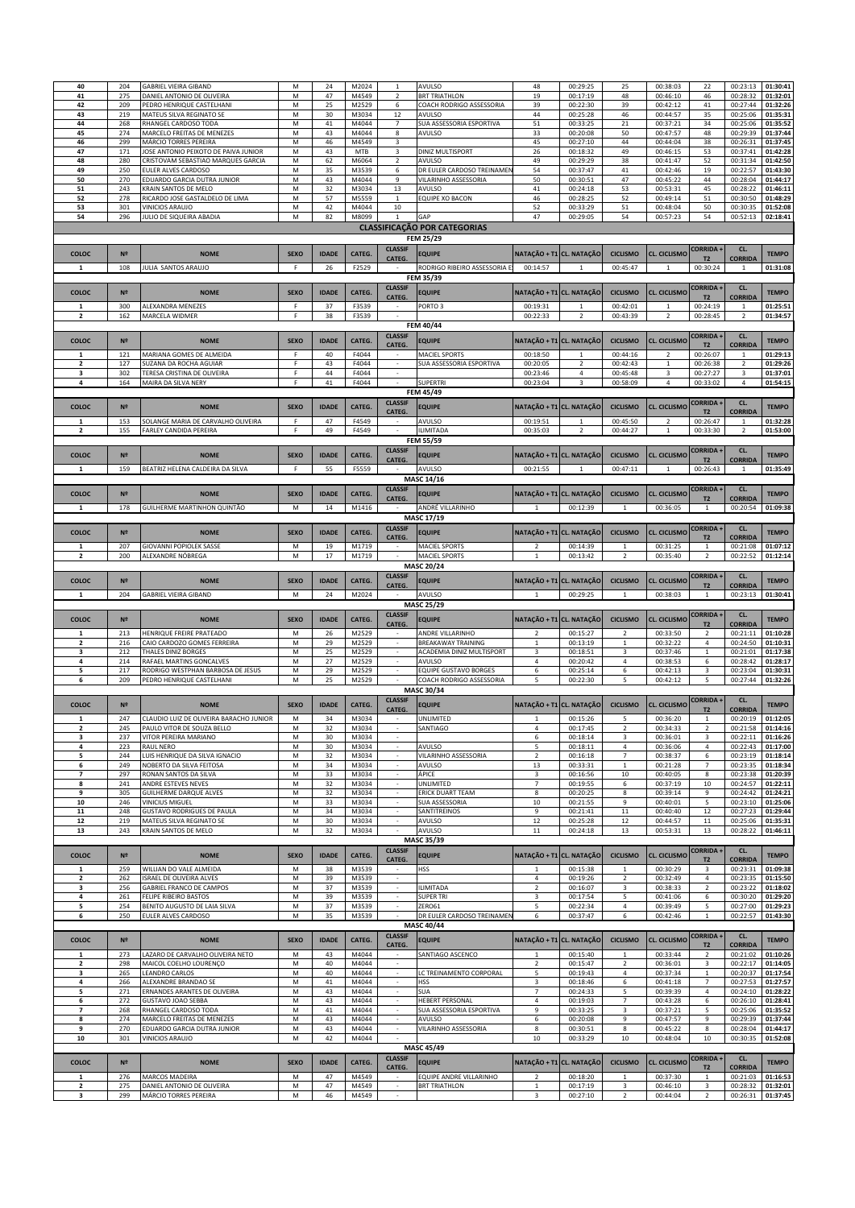| 40                       |                |                                         |             |              |        |                          |                                     |                          |                          |                 |                         |                          |                |              |
|--------------------------|----------------|-----------------------------------------|-------------|--------------|--------|--------------------------|-------------------------------------|--------------------------|--------------------------|-----------------|-------------------------|--------------------------|----------------|--------------|
|                          | 204            | <b>GABRIEL VIEIRA GIBAND</b>            | M           | 24           | M2024  | $\mathbf{1}$             | AVULSO                              | 48                       | 00:29:25                 | 25              | 00:38:03                | 22                       | 00:23:13       | 01:30:41     |
| 41                       | 275            | DANIEL ANTONIO DE OLIVEIRA              | M           | 47           | M4549  | $\overline{2}$           | <b>BRT TRIATHLON</b>                | 19                       | 00:17:19                 | 48              | 00:46:10                | 46                       | 00:28:32       | 01:32:01     |
| 42                       | 209            | PEDRO HENRIQUE CASTELHANI               | M           | 25           | M2529  | 6                        | COACH RODRIGO ASSESSORIA            | 39                       | 00:22:30                 | 39              | 00:42:12                | 41                       | 00:27:44       | 01:32:26     |
| 43                       | 219            | MATEUS SILVA REGINATO SE                | M           | 30           | M3034  | 12                       | AVULSO                              | 44                       | 00:25:28                 | 46              | 00:44:57                | 35                       | 00:25:06       | 01:35:31     |
| 44                       | 268            | RHANGEL CARDOSO TODA                    | M           | 41           | M4044  | $\overline{7}$           | SUA ASSESSORIA ESPORTIVA            | 51                       | 00:33:25                 | 21              | 00:37:21                | 34                       | 00:25:06       | 01:35:52     |
| 45                       | 274            | MARCELO FREITAS DE MENEZES              | M           | 43           | M4044  | 8                        | AVULSO                              | 33                       | 00:20:08                 | 50              | 00:47:57                | 48                       | 00:29:39       | 01:37:44     |
|                          |                |                                         |             |              |        |                          |                                     |                          |                          |                 |                         |                          |                |              |
| 46                       | 299            | MÁRCIO TORRES PEREIRA                   | М           | 46           | M4549  | 3                        |                                     | 45                       | 00:27:10                 | 44              | 00:44:04                | 38                       | 00:26:31       | 01:37:45     |
| 47                       | 171            | JOSE ANTONIO PEIXOTO DE PAIVA JUNIOR    | M           | 43           | MTB    | $\overline{\mathbf{3}}$  | DINIZ MULTISPORT                    | 26                       | 00:18:32                 | 49              | 00:46:15                | 53                       | 00:37:41       | 01:42:28     |
| 48                       | 280            | CRISTOVAM SEBASTIAO MARQUES GARCIA      | M           | 62           | M6064  | $\overline{2}$           | AVULSO                              | 49                       | 00:29:29                 | 38              | 00:41:47                | 52                       | 00:31:34       | 01:42:50     |
| 49                       | 250            | EULER ALVES CARDOSO                     | M           | 35           | M3539  | 6                        | DR EULER CARDOSO TREINAMEN          | 54                       | 00:37:47                 | 41              | 00:42:46                | 19                       | 00:22:57       | 01:43:30     |
| 50                       | 270            | EDUARDO GARCIA DUTRA JUNIOR             | M           | 43           | M4044  | 9                        | VILARINHO ASSESSORIA                | 50                       | 00:30:51                 | 47              | 00:45:22                | 44                       | 00:28:04       | 01:44:17     |
| 51                       | 243            | KRAIN SANTOS DE MELO                    | M           | 32           | M3034  | 13                       | AVULSO                              | 41                       | 00:24:18                 | 53              | 00:53:31                | 45                       | 00:28:22       | 01:46:11     |
| 52                       | 278            | RICARDO JOSE GASTALDELO DE LIMA         | M           | 57           | M5559  | $\mathbf{1}$             | <b>EQUIPE XO BACON</b>              | 46                       | 00:28:25                 | 52              | 00:49:14                | 51                       | 00:30:50       | 01:48:29     |
| 53                       | 301            | <b>VINICIOS ARAUJO</b>                  | M           | 42           | M4044  | 10                       |                                     | 52                       | 00:33:29                 | 51              | 00:48:04                | 50                       | 00:30:35       | 01:52:08     |
|                          |                |                                         |             |              |        |                          |                                     |                          |                          |                 |                         |                          |                |              |
| 54                       | 296            | JULIO DE SIQUEIRA ABADIA                | M           | 82           | M8099  | $\mathbf{1}$             | GAP                                 | 47                       | 00:29:05                 | 54              | 00:57:23                | 54                       | 00:52:13       | 02:18:41     |
|                          |                |                                         |             |              |        |                          | <b>CLASSIFICAÇÃO POR CATEGORIAS</b> |                          |                          |                 |                         |                          |                |              |
|                          |                |                                         |             |              |        |                          | FEM 25/29                           |                          |                          |                 |                         |                          |                |              |
|                          |                |                                         |             |              |        |                          |                                     |                          |                          |                 |                         |                          |                |              |
| COLOC                    | N <sup>2</sup> | <b>NOME</b>                             | <b>SEXO</b> | <b>IDADE</b> | CATEG. | <b>CLASSIF</b>           | <b>EQUIPE</b>                       | NATAÇÃO + T1 CL. NATAÇÃO |                          | <b>CICLISMO</b> | <b>CL. CICLISMO</b>     | <b>CORRIDA +</b>         | CL.            | <b>TEMPO</b> |
|                          |                |                                         |             |              |        | CATEG.                   |                                     |                          |                          |                 |                         | T2                       | <b>CORRIDA</b> |              |
| $\mathbf{1}$             | 108            | JULIA SANTOS ARAUJO                     | F           | 26           | F2529  |                          | RODRIGO RIBEIRO ASSESSORIA E        | 00:14:57                 |                          | 00:45:47        |                         | 00:30:24                 | $\mathbf{1}$   | 01:31:08     |
|                          |                |                                         |             |              |        |                          | FEM 35/39                           |                          |                          |                 |                         |                          |                |              |
|                          |                |                                         |             |              |        | <b>CLASSIF</b>           |                                     |                          |                          |                 |                         | <b>CORRIDA +</b>         | CL.            |              |
| COLOC                    | N <sup>2</sup> | <b>NOME</b>                             | <b>SEXO</b> | <b>IDADE</b> | CATEG. | CATEG.                   | <b>EQUIPE</b>                       | NATAÇÃO + T1 CL. NATAÇÃO |                          | <b>CICLISMO</b> | <b>CL. CICLISMO</b>     | T <sub>2</sub>           | <b>CORRIDA</b> | <b>TEMPO</b> |
| $\mathbf{1}$             | 300            | ALEXANDRA MENEZES                       |             | 37           | F3539  |                          | PORTO <sub>3</sub>                  | 00:19:31                 | $\overline{1}$           | 00:42:01        | $\mathbf{1}$            | 00:24:19                 | $\mathbf{1}$   | 01:25:51     |
| $\overline{\mathbf{2}}$  | 162            | MARCELA WIDMER                          | F           | 38           | F3539  |                          |                                     | 00:22:33                 | $\overline{2}$           | 00:43:39        | $\overline{2}$          | 00:28:45                 | $\overline{2}$ | 01:34:57     |
|                          |                |                                         |             |              |        |                          |                                     |                          |                          |                 |                         |                          |                |              |
|                          |                |                                         |             |              |        |                          | <b>FEM 40/44</b>                    |                          |                          |                 |                         |                          |                |              |
| COLOC                    | N <sup>2</sup> | <b>NOME</b>                             | <b>SEXO</b> | <b>IDADE</b> | CATEG. | <b>CLASSIF</b>           | <b>EQUIPE</b>                       |                          | NATAÇÃO + T1 CL. NATAÇÃO | <b>CICLISMO</b> | <b>CL. CICLISMO</b>     | <b>CORRIDA +</b>         | CL.            | <b>TEMPO</b> |
|                          |                |                                         |             |              |        | CATEG.                   |                                     |                          |                          |                 |                         | T <sub>2</sub>           | <b>CORRIDA</b> |              |
| $\mathbf{1}$             | 121            | MARIANA GOMES DE ALMEIDA                | F           | 40           | F4044  |                          | <b>MACIEL SPORTS</b>                | 00:18:50                 | $\overline{1}$           | 00:44:16        | $\overline{2}$          | 00:26:07                 |                | 01:29:13     |
| $\overline{\mathbf{2}}$  | 127            | SUZANA DA ROCHA AGUIAR                  | F           | 43           | F4044  |                          | SUA ASSESSORIA ESPORTIVA            | 00:20:05                 | $\overline{2}$           | 00:42:43        | $\mathbf 1$             | 00:26:38                 | $\overline{2}$ | 01:29:26     |
| $\overline{\mathbf{3}}$  | 302            | TERESA CRISTINA DE OLIVEIRA             | F           | 44           | F4044  |                          |                                     | 00:23:46                 | $\overline{4}$           | 00:45:48        | $\overline{\mathbf{3}}$ | 00:27:27                 | $\overline{3}$ | 01:37:01     |
|                          |                |                                         |             |              |        |                          |                                     |                          |                          |                 |                         |                          |                |              |
| 4                        | 164            | MAIRA DA SILVA NERY                     | F           | $41\,$       | F4044  | $\sim$                   | <b>SUPERTRI</b>                     | 00:23:04                 | 3                        | 00:58:09        | 4                       | 00:33:02                 | 4              | 01:54:15     |
|                          |                |                                         |             |              |        |                          | FEM 45/49                           |                          |                          |                 |                         |                          |                |              |
|                          |                |                                         |             |              |        | <b>CLASSIF</b>           |                                     | NATACÃO + T1             |                          |                 |                         | <b>CORRIDA+</b>          | CL.            |              |
| COLOC                    | N <sup>2</sup> | <b>NOME</b>                             | <b>SEXO</b> | <b>IDADE</b> | CATEG. | CATEG.                   | <b>EQUIPE</b>                       |                          | <b>CL. NATAÇÃO</b>       | <b>CICLISMO</b> | <b>CL. CICLISMO</b>     | T <sub>2</sub>           | <b>CORRIDA</b> | <b>TEMPO</b> |
| $\mathbf{1}$             | 153            | SOLANGE MARIA DE CARVALHO OLIVEIRA      | F           | 47           | F4549  | $\sim$                   | AVULSO                              | 00:19:51                 | 1                        | 00:45:50        | $\overline{2}$          | 00:26:47                 | $\mathbf{1}$   | 01:32:28     |
| $\overline{\mathbf{2}}$  | 155            | <b>FARLEY CANDIDA PEREIRA</b>           | F           | 49           | F4549  | $\sim$                   | <b>ILIMITADA</b>                    | 00:35:03                 | $\overline{2}$           | 00:44:27        | $\mathbf{1}$            | 00:33:30                 | $\overline{2}$ | 01:53:00     |
|                          |                |                                         |             |              |        |                          |                                     |                          |                          |                 |                         |                          |                |              |
|                          |                |                                         |             |              |        |                          | <b>FEM 55/59</b>                    |                          |                          |                 |                         |                          |                |              |
| COLOC                    | N <sup>2</sup> | <b>NOME</b>                             | <b>SEXO</b> | <b>IDADE</b> | CATEG. | <b>CLASSIF</b>           | <b>EQUIPE</b>                       | NATAÇÃO + T1 CL. NATAÇÃO |                          | <b>CICLISMO</b> | <b>CL. CICLISMO</b>     | <b>CORRIDA</b>           | CL.            | <b>TEMPO</b> |
|                          |                |                                         |             |              |        | CATEG.                   |                                     |                          |                          |                 |                         | T <sub>2</sub>           | <b>CORRIDA</b> |              |
| $\mathbf{1}$             | 159            | BEATRIZ HELENA CALDEIRA DA SILVA        | F           | 55           | F5559  | i.                       | <b>AVULSO</b>                       | 00:21:55                 |                          | 00:47:11        | $\mathbf{1}$            | 00:26:43                 | $\mathbf{1}$   | 01:35:49     |
|                          |                |                                         |             |              |        |                          | MASC 14/16                          |                          |                          |                 |                         |                          |                |              |
|                          |                |                                         |             |              |        |                          |                                     |                          |                          |                 |                         |                          |                |              |
| COLOC                    | N <sup>2</sup> | <b>NOME</b>                             | <b>SEXO</b> | <b>IDADE</b> | CATEG. | <b>CLASSIF</b>           | <b>EQUIPE</b>                       | NATAÇÃO + T1 CL. NATAÇÃO |                          | <b>CICLISMO</b> | <b>CL. CICLISMO</b>     | <b>CORRIDA+</b>          | CL.            | <b>TEMPO</b> |
|                          |                |                                         |             |              |        | CATEG.                   |                                     |                          |                          |                 |                         | T2                       | <b>CORRIDA</b> |              |
| 1                        | 178            | GUILHERME MARTINHON QUINTÃO             | M           | 14           | M1416  |                          | ANDRÉ VILLARINHO                    | 1                        | 00:12:39                 | $\mathbf{1}$    | 00:36:05                | $\mathbf{1}$             | 00:20:54       | 01:09:38     |
|                          |                |                                         |             |              |        |                          | MASC 17/19                          |                          |                          |                 |                         |                          |                |              |
|                          |                |                                         |             |              |        | <b>CLASSIF</b>           |                                     |                          |                          |                 |                         | <b>CORRIDA</b>           | CL.            |              |
| COLOC                    | N <sup>2</sup> | <b>NOME</b>                             | <b>SEXO</b> | <b>IDADE</b> | CATEG. | CATEG.                   | <b>EQUIPE</b>                       | NATAÇÃO + T1 CL. NATAÇÃO |                          | <b>CICLISMO</b> | <b>CL. CICLISMO</b>     | T2                       | <b>CORRIDA</b> | <b>TEMPO</b> |
|                          |                |                                         |             |              |        |                          |                                     |                          |                          |                 |                         |                          |                |              |
| $\mathbf{1}$             | 207            | <b>GIOVANNI POPIOLEK SASSE</b>          | M           | 19           | M1719  |                          | <b>MACIEL SPORTS</b>                | $\overline{2}$           | 00:14:39                 |                 | 00:31:25                | $\mathbf 1$              | 00:21:08       | 01:07:12     |
| $\overline{2}$           | 200            | ALEXANDRE NÓBREGA                       | M           | 17           | M1719  |                          | <b>MACIEL SPORTS</b>                |                          | 00:13:42                 |                 | 00:35:40                | $\overline{\phantom{a}}$ | 00:22:52       | 01:12:14     |
|                          |                |                                         |             |              |        |                          | <b>MASC 20/24</b>                   |                          |                          |                 |                         |                          |                |              |
|                          |                |                                         |             |              |        | <b>CLASSIF</b>           |                                     |                          |                          |                 |                         | <b>CORRIDA+</b>          | CL.            |              |
| COLOC                    | N <sup>2</sup> | <b>NOME</b>                             | <b>SEXO</b> | <b>IDADE</b> | CATEG. | CATEG.                   | <b>EQUIPE</b>                       | NATAÇÃO + T1             | <b>CL. NATAÇÃO</b>       | <b>CICLISMO</b> | <b>CL. CICLISMO</b>     | T <sub>2</sub>           | <b>CORRIDA</b> | <b>TEMPO</b> |
| $\mathbf{1}$             | 204            | <b>GABRIEL VIEIRA GIBAND</b>            | M           | 24           | M2024  |                          | AVULSO                              | $\overline{1}$           | 00:29:25                 | $\overline{1}$  | 00:38:03                | $\overline{1}$           | 00:23:13       | 01:30:41     |
|                          |                |                                         |             |              |        |                          |                                     |                          |                          |                 |                         |                          |                |              |
|                          |                |                                         |             |              |        |                          |                                     |                          |                          |                 |                         |                          |                |              |
|                          |                |                                         |             |              |        |                          | <b>MASC 25/29</b>                   |                          |                          |                 |                         |                          |                |              |
| COLOC                    | N <sup>2</sup> | <b>NOME</b>                             | <b>SEXO</b> | <b>IDADE</b> |        | <b>CLASSIF</b>           |                                     |                          |                          | <b>CICLISMO</b> |                         | <b>CORRIDA+</b>          | CL.            |              |
|                          |                |                                         |             |              | CATEG. | CATEG.                   | <b>EQUIPE</b>                       | NATAÇÃO + T1 CL. NATAÇÃO |                          |                 | <b>CL. CICLISMO</b>     | T2                       | <b>CORRIDA</b> | <b>TEMPO</b> |
| $\mathbf{1}$             | 213            | HENRIQUE FREIRE PRATEADO                | M           | 26           | M2529  |                          | ANDRE VILLARINHO                    | $\overline{2}$           | 00:15:27                 | $\overline{2}$  | 00:33:50                | $\overline{2}$           | 00:21:11       | 01:10:28     |
| $\overline{\mathbf{2}}$  | 216            | CAIO CARDOZO GOMES FERREIRA             | M           | 29           | M2529  |                          | <b>BREAKAWAY TRAINING</b>           | $\mathbf{1}$             | 00:13:19                 | 1               | 00:32:22                | $\overline{4}$           | 00:24:50       | 01:10:31     |
| 3                        | 212            | THALES DINIZ BORGES                     | M           | 25           | M2529  |                          | ACADEMIA DINIZ MULTISPORT           | 3                        | 00:18:51                 | 3               | 00:37:46                | $\,1\,$                  | 00:21:01       | 01:17:38     |
| 4                        | 214            | RAFAEL MARTINS GONCALVES                | M           | 27           | M2529  |                          | AVULSO                              | 4                        | 00:20:42                 | 4               | 00:38:53                | 6                        | 00:28:42       | 01:28:17     |
|                          |                |                                         |             |              |        |                          |                                     |                          |                          |                 |                         |                          |                |              |
| 5                        | 217            | RODRIGO WESTPHAN BARBOSA DE JESUS       | М           | 29           | M2529  | $\overline{\phantom{a}}$ | <b>EQUIPE GUSTAVO BORGES</b>        | 6                        | 00:25:14                 | 6               | 00:42:13                | 3                        | 00:23:04       | 01:30:31     |
| 6                        | 209            | PEDRO HENRIQUE CASTELHANI               | M           | 25           | M2529  | $\sim$                   | COACH RODRIGO ASSESSORIA            | 5                        | 00:22:30                 | 5               | 00:42:12                | 5                        | 00:27:44       | 01:32:26     |
|                          |                |                                         |             |              |        |                          | MASC 30/34                          |                          |                          |                 |                         |                          |                |              |
| COLOC                    | N <sup>2</sup> | <b>NOME</b>                             | <b>SEXO</b> | <b>IDADE</b> | CATEG. | <b>CLASSIF</b>           |                                     | NATAÇÃO + T1 CL. NATAÇÃO |                          | <b>CICLISMO</b> | <b>CL. CICLISMO</b>     | <b>CORRIDA</b>           | CL.            | <b>TEMPO</b> |
|                          |                |                                         |             |              |        | CATEG.                   | <b>EQUIPE</b>                       |                          |                          |                 |                         | T2                       | <b>CORRIDA</b> |              |
|                          | 247            | CLAUDIO LUIZ DE OLIVEIRA BARACHO JUNIOR | M           | 34           | M3034  |                          | <b>UNLIMITED</b>                    |                          | 00:15:26                 |                 | 00:36:20                | $\mathbf{1}$             | 00:20:19       | 01:12:05     |
| $\overline{\mathbf{2}}$  | 245            | PAULO VITOR DE SOUZA BELLO              | M           | 32           | M3034  |                          | SANTIAGO                            | 4                        | 00:17:45                 | $\overline{2}$  | 00:34:33                | $\overline{2}$           | 00:21:58       | 01:14:16     |
| $\overline{\mathbf{3}}$  | 237            | VITOR PEREIRA MARIANO                   | M           | 30           | M3034  |                          |                                     | $\,$ 6 $\,$              | 00:18:14                 | 3               | 00:36:01                | 3                        | 00:22:11       | 01:16:26     |
| 4                        | 223            | RAUL NERO                               |             |              |        |                          | AVULSO                              |                          |                          | 4               |                         | $\overline{4}$           |                |              |
|                          |                |                                         | M           | 30           | M3034  |                          |                                     | 5                        | 00:18:11                 |                 | 00:36:06                |                          | 00:22:43       | 01:17:00     |
| 5                        | 244            | LUIS HENRIQUE DA SILVA IGNACIO          | M           | 32           | M3034  |                          | VILARINHO ASSESSORIA                | $\overline{2}$           | 00:16:18                 | $\overline{7}$  | 00:38:37                | 6                        | 00:23:19       | 01:18:14     |
| 6                        | 249            | NOBERTO DA SILVA FEITOSA                | М           | 34           | M3034  | ٠                        | AVULSO                              | $13\,$                   | 00:33:31                 | $\mathbf{1}$    | 00:21:28                | $\overline{7}$           | 00:23:35       | 01:18:34     |
| $\overline{\phantom{a}}$ | 297            | RONAN SANTOS DA SILVA                   | М           | 33           | M3034  | $\sim$                   | ÁPICE                               | $\overline{\mathbf{3}}$  | 00:16:56                 | 10              | 00:40:05                | 8                        | 00:23:38       | 01:20:39     |
| 8                        | 241            | ANDRE ESTEVES NEVES                     | M           | 32           | M3034  | $\sim$                   | <b>UNLIMITED</b>                    | $\overline{7}$           | 00:19:55                 | 6               | 00:37:19                | 10                       | 00:24:57       | 01:22:11     |
| 9                        | 305            | GUILHERME DARQUE ALVES                  | M           | 32           | M3034  | $\sim$                   | <b>ERICK DUART TEAM</b>             | $\bf8$                   | 00:20:25                 | 8               | 00:39:14                | 9                        | 00:24:42       | 01:24:21     |
| ${\bf 10}$               | 246            | VINICIUS MIGUEL                         | M           | 33           | M3034  | $\sim$                   | SUA ASSESSORIA                      | 10                       | 00:21:55                 | 9               | 00:40:01                | 5                        | 00:23:10       | 01:25:06     |
| 11                       | 248            | <b>GUSTAVO RODRIGUES DE PAULA</b>       | M           | 34           | M3034  |                          | SANTITREINOS                        | 9                        | 00:21:41                 | $11\,$          | 00:40:40                | $12\,$                   | 00:27:23       | 01:29:44     |
| 12                       | 219            | MATEUS SILVA REGINATO SE                | М           | 30           | M3034  | $\sim$                   | AVULSO                              | 12                       | 00:25:28                 | 12              | 00:44:57                | $11\,$                   | 00:25:06       | 01:35:31     |
|                          |                |                                         |             |              |        | $\sim$                   |                                     |                          |                          |                 |                         |                          |                |              |
| 13                       | 243            | KRAIN SANTOS DE MELO                    | M           | 32           | M3034  |                          | AVULSO                              | 11                       | 00:24:18                 | 13              | 00:53:31                | 13                       | 00:28:22       | 01:46:11     |
|                          |                |                                         |             |              |        |                          | MASC 35/39                          |                          |                          |                 |                         |                          |                |              |
| COLOC                    | N <sup>2</sup> | <b>NOME</b>                             | <b>SEXO</b> | <b>IDADE</b> |        | <b>CLASSIF</b>           |                                     | NATAÇÃO + T1             | <b>CL. NATAÇÃO</b>       | <b>CICLISMO</b> | <b>CL. CICLISMO</b>     | <b>CORRIDA+</b>          | CL.            | <b>TEMPO</b> |
|                          |                |                                         |             |              | CATEG. | CATEG.                   | <b>EQUIPE</b>                       |                          |                          |                 |                         | T2                       | <b>CORRIDA</b> |              |
| $\mathbf{1}$             | 259            | WILLIAN DO VALE ALMEIDA                 | M           | 38           | M3539  | $\sim$                   | <b>HSS</b>                          | $\mathbf{1}$             | 00:15:38                 | $\mathbf{1}$    | 00:30:29                | 3                        | 00:23:31       | 01:09:38     |
| $\overline{2}$           | 262            | <b>ISRAEL DE OLIVEIRA ALVES</b>         | M           | 39           | M3539  | $\sim$                   |                                     | 4                        | 00:19:26                 | $\overline{2}$  | 00:32:49                | 4                        | 00:23:35       | 01:15:50     |
| 3                        | 256            | GABRIEL FRANCO DE CAMPOS                | M           | 37           | M3539  | $\mathbb{Z}^2$           | <b>ILIMITADA</b>                    | $\overline{2}$           | 00:16:07                 | 3               | 00:38:33                | $\sqrt{2}$               | 00:23:22       | 01:18:02     |
| 4                        | 261            | FELIPE RIBEIRO BASTOS                   | M           | 39           | M3539  | $\sim$                   | <b>SUPER TRI</b>                    | $\mathbf{3}$             | 00:17:54                 | 5               | 00:41:06                | 6                        | 00:30:20       | 01:29:20     |
|                          |                |                                         |             |              |        |                          |                                     |                          |                          |                 |                         |                          |                |              |
| 5                        | 254            | BENITO AUGUSTO DE LAIA SILVA            | M           | 37           | M3539  |                          | ZERO61                              | 5                        | 00:22:34                 | $\overline{4}$  | 00:39:49                | 5                        | 00:27:00       | 01:29:23     |
| 6                        | 250            | EULER ALVES CARDOSO                     | M           | 35           | M3539  | $\sim$                   | DR EULER CARDOSO TREINAMEN          | 6                        | 00:37:47                 | 6               | 00:42:46                | $\mathbf 1$              | 00:22:57       | 01:43:30     |
|                          |                |                                         |             |              |        |                          | <b>MASC 40/44</b>                   |                          |                          |                 |                         |                          |                |              |
|                          |                |                                         |             |              |        | <b>CLASSIF</b>           |                                     |                          |                          |                 |                         | <b>CORRIDA +</b>         | CL.            |              |
| COLOC                    | N <sup>2</sup> | <b>NOME</b>                             | <b>SEXO</b> | <b>IDADE</b> | CATEG. | CATEG.                   | <b>EQUIPE</b>                       | NATAÇÃO + T1 CL. NATAÇÃO |                          | <b>CICLISMO</b> | <b>CL. CICLISMO</b>     | <b>T2</b>                | <b>CORRIDA</b> | <b>TEMPO</b> |
| 1                        | 273            | LAZARO DE CARVALHO OLIVEIRA NETO        | M           | 43           | M4044  | $\overline{\phantom{a}}$ | SANTIAGO ASCENCO                    | $\mathbf{1}$             | 00:15:40                 | $\mathbf{1}$    | 00:33:44                |                          | 00:21:02       | 01:10:26     |
|                          |                |                                         |             |              |        | $\sim$                   |                                     |                          |                          |                 |                         | $\mathbf 2$              |                |              |
| 2                        | 298            | MAICOL COELHO LOURENÇO                  | M           | 40           | M4044  |                          |                                     | $\overline{2}$           | 00:15:47                 | $\overline{2}$  | 00:36:01                | 3                        | 00:22:17       | 01:14:05     |
| 3                        | 265            | <b>LEANDRO CARLOS</b>                   | M           | 40           | M4044  | $\sim$                   | LC TREINAMENTO CORPORAL             | 5                        | 00:19:43                 | $\overline{4}$  | 00:37:34                | $\mathbf 1$              | 00:20:37       | 01:17:54     |
| 4                        | 266            | ALEXANDRE BRANDAO SE                    | M           | 41           | M4044  | ÷.                       | <b>HSS</b>                          | $\mathbf{3}$             | 00:18:46                 | 6               | 00:41:18                | $\overline{7}$           | 00:27:53       | 01:27:57     |
| 5                        | 271            | ERNANDES ARANTES DE OLIVEIRA            | M           | 43           | M4044  | $\sim$                   | SUA                                 | $\overline{7}$           | 00:24:33                 | 5               | 00:39:39                | $\overline{a}$           | 00:24:10       | 01:28:22     |
| 6                        | 272            | GUSTAVO JOAO SEBBA                      | M           | 43           | M4044  |                          | <b>HEBERT PERSONAL</b>              | 4                        | 00:19:03                 | $\overline{7}$  | 00:43:28                | 6                        | 00:26:10       | 01:28:41     |
| $\overline{\phantom{a}}$ | 268            | RHANGEL CARDOSO TODA                    | М           | 41           | M4044  |                          | SUA ASSESSORIA ESPORTIVA            | 9                        | 00:33:25                 | 3               | 00:37:21                | 5                        | 00:25:06       | 01:35:52     |
| 8                        | 274            | MARCELO FREITAS DE MENEZES              | M           | 43           | M4044  | $\sim$                   | AVULSO                              | 6                        | 00:20:08                 | 9               | 00:47:57                | 9                        | 00:29:39       | 01:37:44     |
| 9                        | 270            | EDUARDO GARCIA DUTRA JUNIOR             | М           | 43           | M4044  | $\sim$                   | VILARINHO ASSESSORIA                | 8                        | 00:30:51                 | 8               | 00:45:22                | 8                        | 00:28:04       | 01:44:17     |
|                          |                |                                         |             |              |        |                          |                                     |                          |                          |                 |                         |                          |                |              |
| 10                       | 301            | VINICIOS ARAUJO                         | M           | 42           | M4044  |                          |                                     | 10                       | 00:33:29                 | 10              | 00:48:04                | 10                       | 00:30:35       | 01:52:08     |
|                          |                |                                         |             |              |        |                          | <b>MASC 45/49</b>                   |                          |                          |                 |                         |                          |                |              |
|                          |                |                                         |             |              |        | <b>CLASSIF</b>           |                                     |                          |                          |                 |                         | <b>CORRIDA+</b>          | CL.            |              |
| COLOC                    | N <sup>2</sup> | <b>NOME</b>                             | <b>SEXO</b> | <b>IDADE</b> | CATEG. | CATEG.                   | <b>EQUIPE</b>                       | NATAÇÃO + T1 CL. NATAÇÃO |                          | <b>CICLISMO</b> | <b>CL. CICLISMO</b>     | T <sub>2</sub>           | <b>CORRIDA</b> | <b>TEMPO</b> |
| $\mathbf{1}$             | 276            | MARCOS MADEIRA                          | M           | 47           | M4549  |                          | <b>EQUIPE ANDRE VILLARINHO</b>      | $\overline{2}$           | 00:18:20                 | $\mathbf{1}$    | 00:37:30                | $\mathbf 1$              | 00:21:03       | 01:16:53     |
| $\overline{\mathbf{2}}$  | 275            | DANIEL ANTONIO DE OLIVEIRA              | M           | 47           | M4549  | $\sim$                   | <b>BRT TRIATHLON</b>                | $\mathbf 1$              | 00:17:19                 | 3               | 00:46:10                | 3                        | 00:28:32       | 01:32:01     |
| 3                        | 299            | MÁRCIO TORRES PEREIRA                   | M           | 46           | M4549  | $\sim$                   |                                     | 3                        | 00:27:10                 | $\overline{2}$  | 00:44:04                | $\overline{2}$           | 00:26:31       | 01:37:45     |